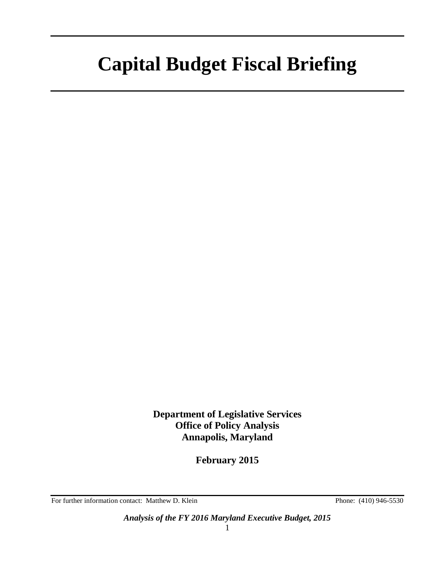**Department of Legislative Services Office of Policy Analysis Annapolis, Maryland**

**February 2015**

For further information contact: Matthew D. Klein Phone: (410) 946-5530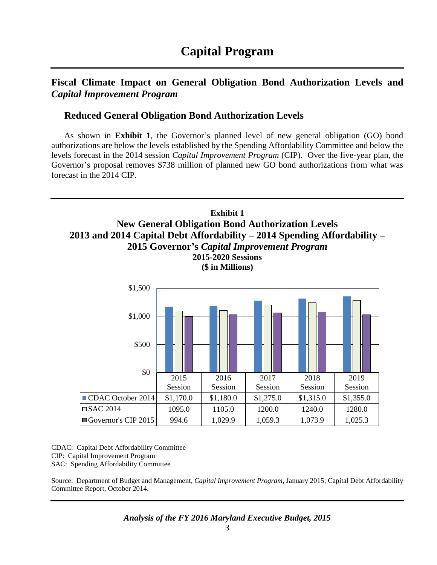**Fiscal Climate Impact on General Obligation Bond Authorization Levels and** *Capital Improvement Program*

# **Reduced General Obligation Bond Authorization Levels**

As shown in **Exhibit 1**, the Governor's planned level of new general obligation (GO) bond authorizations are below the levels established by the Spending Affordability Committee and below the levels forecast in the 2014 session *Capital Improvement Program* (CIP). Over the five-year plan, the Governor's proposal removes \$738 million of planned new GO bond authorizations from what was forecast in the 2014 CIP.



CDAC: Capital Debt Affordability Committee CIP: Capital Improvement Program SAC: Spending Affordability Committee

Source: Department of Budget and Management, *Capital Improvement Program*, January 2015; Capital Debt Affordability Committee Report, October 2014.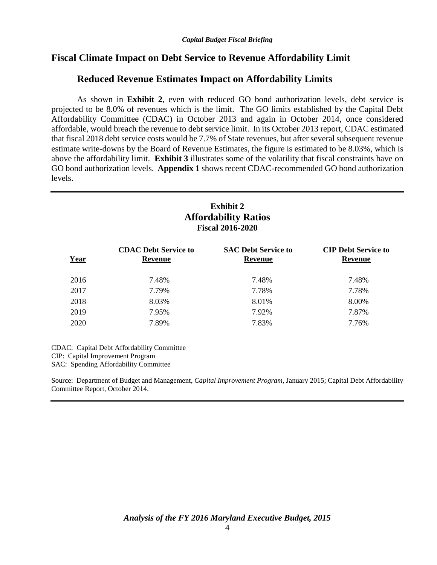# **Fiscal Climate Impact on Debt Service to Revenue Affordability Limit**

# **Reduced Revenue Estimates Impact on Affordability Limits**

As shown in **Exhibit 2**, even with reduced GO bond authorization levels, debt service is projected to be 8.0% of revenues which is the limit. The GO limits established by the Capital Debt Affordability Committee (CDAC) in October 2013 and again in October 2014, once considered affordable, would breach the revenue to debt service limit. In its October 2013 report, CDAC estimated that fiscal 2018 debt service costs would be 7.7% of State revenues, but after several subsequent revenue estimate write-downs by the Board of Revenue Estimates, the figure is estimated to be 8.03%, which is above the affordability limit. **Exhibit 3** illustrates some of the volatility that fiscal constraints have on GO bond authorization levels. **Appendix 1** shows recent CDAC-recommended GO bond authorization levels.

# **Exhibit 2 Affordability Ratios Fiscal 2016-2020**

| Year | <b>CDAC Debt Service to</b><br>Revenue | <b>SAC Debt Service to</b><br>Revenue | <b>CIP Debt Service to</b><br>Revenue |
|------|----------------------------------------|---------------------------------------|---------------------------------------|
| 2016 | 7.48%                                  | 7.48%                                 | 7.48%                                 |
| 2017 | 7.79%                                  | 7.78%                                 | 7.78%                                 |
| 2018 | 8.03%                                  | 8.01%                                 | 8.00%                                 |
| 2019 | 7.95%                                  | 7.92%                                 | 7.87%                                 |
| 2020 | 7.89%                                  | 7.83%                                 | 7.76%                                 |

CDAC: Capital Debt Affordability Committee CIP: Capital Improvement Program SAC: Spending Affordability Committee

Source: Department of Budget and Management, *Capital Improvement Program*, January 2015; Capital Debt Affordability Committee Report, October 2014.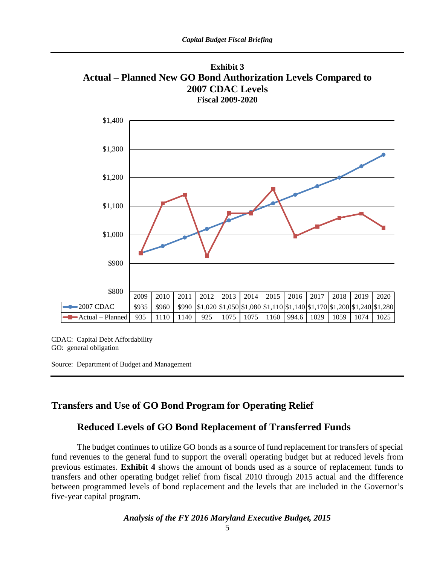



CDAC: Capital Debt Affordability GO: general obligation

Source: Department of Budget and Management

# **Transfers and Use of GO Bond Program for Operating Relief**

# **Reduced Levels of GO Bond Replacement of Transferred Funds**

The budget continues to utilize GO bonds as a source of fund replacement for transfers of special fund revenues to the general fund to support the overall operating budget but at reduced levels from previous estimates. **Exhibit 4** shows the amount of bonds used as a source of replacement funds to transfers and other operating budget relief from fiscal 2010 through 2015 actual and the difference between programmed levels of bond replacement and the levels that are included in the Governor's five-year capital program.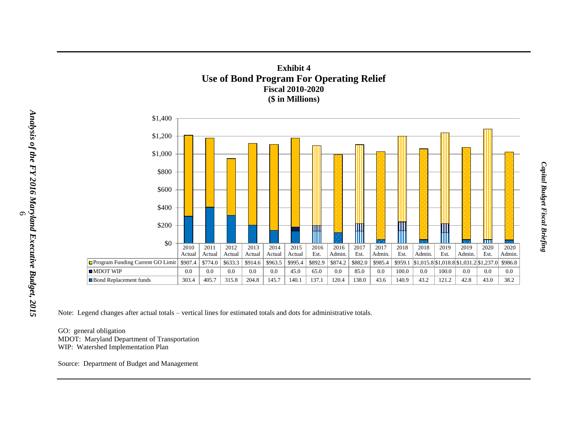

**Capital Budget Fiscal Briefing** 



Note: Legend changes after actual totals – vertical lines for estimated totals and dots for administrative totals.

GO: general obligation MDOT: Maryland Department of Transportation WIP: Watershed Implementation Plan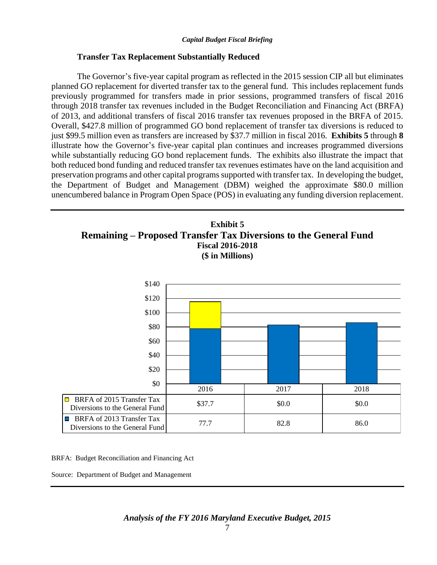#### **Transfer Tax Replacement Substantially Reduced**

The Governor's five-year capital program as reflected in the 2015 session CIP all but eliminates planned GO replacement for diverted transfer tax to the general fund. This includes replacement funds previously programmed for transfers made in prior sessions, programmed transfers of fiscal 2016 through 2018 transfer tax revenues included in the Budget Reconciliation and Financing Act (BRFA) of 2013, and additional transfers of fiscal 2016 transfer tax revenues proposed in the BRFA of 2015. Overall, \$427.8 million of programmed GO bond replacement of transfer tax diversions is reduced to just \$99.5 million even as transfers are increased by \$37.7 million in fiscal 2016. **Exhibits 5** through **8** illustrate how the Governor's five-year capital plan continues and increases programmed diversions while substantially reducing GO bond replacement funds. The exhibits also illustrate the impact that both reduced bond funding and reduced transfer tax revenues estimates have on the land acquisition and preservation programs and other capital programs supported with transfer tax. In developing the budget, the Department of Budget and Management (DBM) weighed the approximate \$80.0 million unencumbered balance in Program Open Space (POS) in evaluating any funding diversion replacement.





BRFA: Budget Reconciliation and Financing Act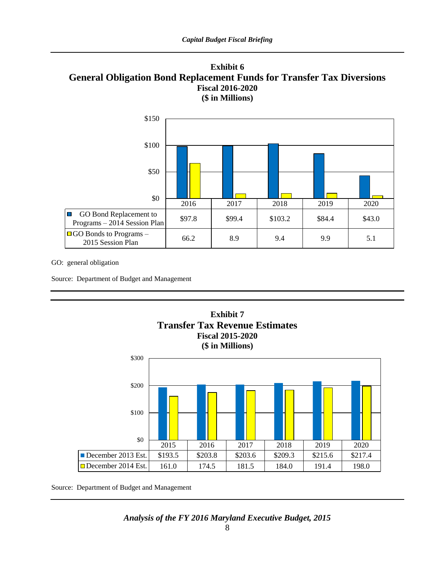



GO: general obligation

Source: Department of Budget and Management



Source: Department of Budget and Management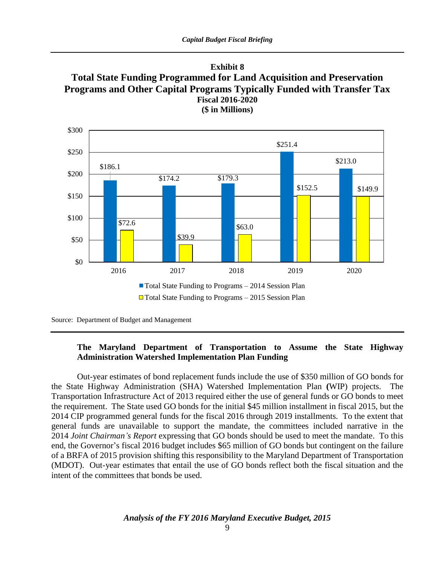



Source: Department of Budget and Management

#### **The Maryland Department of Transportation to Assume the State Highway Administration Watershed Implementation Plan Funding**

Out-year estimates of bond replacement funds include the use of \$350 million of GO bonds for the State Highway Administration (SHA) Watershed Implementation Plan **(**WIP) projects. The Transportation Infrastructure Act of 2013 required either the use of general funds or GO bonds to meet the requirement. The State used GO bonds for the initial \$45 million installment in fiscal 2015, but the 2014 CIP programmed general funds for the fiscal 2016 through 2019 installments. To the extent that general funds are unavailable to support the mandate, the committees included narrative in the 2014 *Joint Chairman's Report* expressing that GO bonds should be used to meet the mandate. To this end, the Governor's fiscal 2016 budget includes \$65 million of GO bonds but contingent on the failure of a BRFA of 2015 provision shifting this responsibility to the Maryland Department of Transportation (MDOT). Out-year estimates that entail the use of GO bonds reflect both the fiscal situation and the intent of the committees that bonds be used.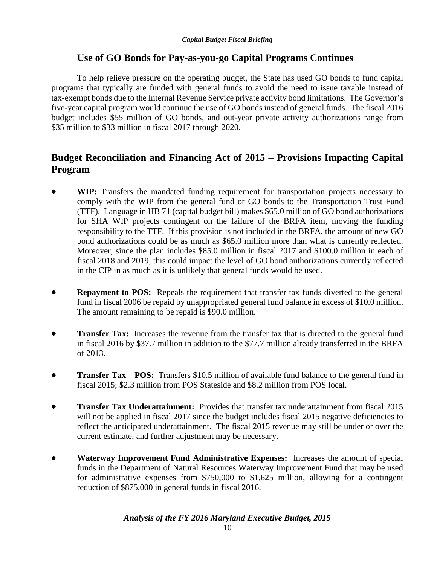# **Use of GO Bonds for Pay-as-you-go Capital Programs Continues**

To help relieve pressure on the operating budget, the State has used GO bonds to fund capital programs that typically are funded with general funds to avoid the need to issue taxable instead of tax-exempt bonds due to the Internal Revenue Service private activity bond limitations. The Governor's five-year capital program would continue the use of GO bonds instead of general funds. The fiscal 2016 budget includes \$55 million of GO bonds, and out-year private activity authorizations range from \$35 million to \$33 million in fiscal 2017 through 2020.

# **Budget Reconciliation and Financing Act of 2015 – Provisions Impacting Capital Program**

- **WIP:** Transfers the mandated funding requirement for transportation projects necessary to comply with the WIP from the general fund or GO bonds to the Transportation Trust Fund (TTF). Language in HB 71 (capital budget bill) makes \$65.0 million of GO bond authorizations for SHA WIP projects contingent on the failure of the BRFA item, moving the funding responsibility to the TTF. If this provision is not included in the BRFA, the amount of new GO bond authorizations could be as much as \$65.0 million more than what is currently reflected. Moreover, since the plan includes \$85.0 million in fiscal 2017 and \$100.0 million in each of fiscal 2018 and 2019, this could impact the level of GO bond authorizations currently reflected in the CIP in as much as it is unlikely that general funds would be used.
- **Repayment to POS:** Repeals the requirement that transfer tax funds diverted to the general fund in fiscal 2006 be repaid by unappropriated general fund balance in excess of \$10.0 million. The amount remaining to be repaid is \$90.0 million.
- **Transfer Tax:** Increases the revenue from the transfer tax that is directed to the general fund in fiscal 2016 by \$37.7 million in addition to the \$77.7 million already transferred in the BRFA of 2013.
- **Transfer Tax POS:** Transfers \$10.5 million of available fund balance to the general fund in fiscal 2015; \$2.3 million from POS Stateside and \$8.2 million from POS local.
- **Transfer Tax Underattainment:** Provides that transfer tax underattainment from fiscal 2015 will not be applied in fiscal 2017 since the budget includes fiscal 2015 negative deficiencies to reflect the anticipated underattainment. The fiscal 2015 revenue may still be under or over the current estimate, and further adjustment may be necessary.
- **Waterway Improvement Fund Administrative Expenses:** Increases the amount of special funds in the Department of Natural Resources Waterway Improvement Fund that may be used for administrative expenses from \$750,000 to \$1.625 million, allowing for a contingent reduction of \$875,000 in general funds in fiscal 2016.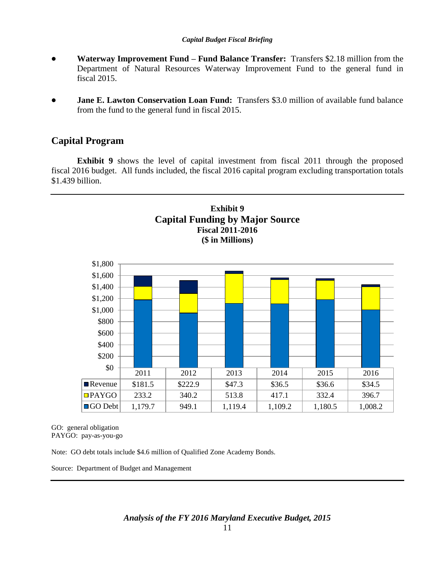- **Waterway Improvement Fund – Fund Balance Transfer:** Transfers \$2.18 million from the Department of Natural Resources Waterway Improvement Fund to the general fund in fiscal 2015.
- **Jane E. Lawton Conservation Loan Fund:** Transfers \$3.0 million of available fund balance from the fund to the general fund in fiscal 2015.

# **Capital Program**

**Exhibit 9** shows the level of capital investment from fiscal 2011 through the proposed fiscal 2016 budget. All funds included, the fiscal 2016 capital program excluding transportation totals \$1.439 billion.



GO: general obligation PAYGO: pay-as-you-go

Note: GO debt totals include \$4.6 million of Qualified Zone Academy Bonds.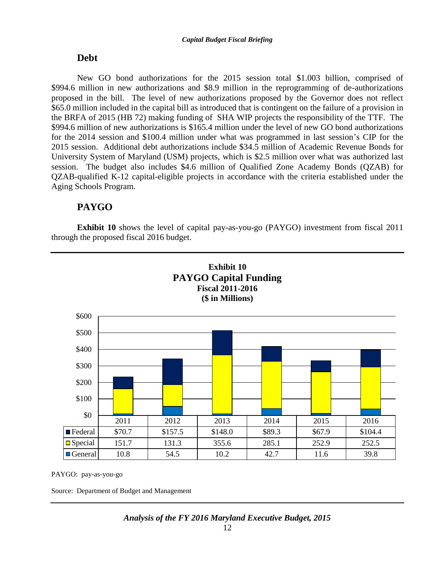# **Debt**

New GO bond authorizations for the 2015 session total \$1.003 billion, comprised of \$994.6 million in new authorizations and \$8.9 million in the reprogramming of de-authorizations proposed in the bill. The level of new authorizations proposed by the Governor does not reflect \$65.0 million included in the capital bill as introduced that is contingent on the failure of a provision in the BRFA of 2015 (HB 72) making funding of SHA WIP projects the responsibility of the TTF. The \$994.6 million of new authorizations is \$165.4 million under the level of new GO bond authorizations for the 2014 session and \$100.4 million under what was programmed in last session's CIP for the 2015 session. Additional debt authorizations include \$34.5 million of Academic Revenue Bonds for University System of Maryland (USM) projects, which is \$2.5 million over what was authorized last session. The budget also includes \$4.6 million of Qualified Zone Academy Bonds (QZAB) for QZAB-qualified K-12 capital-eligible projects in accordance with the criteria established under the Aging Schools Program.

# **PAYGO**

**Exhibit 10** shows the level of capital pay-as-you-go (PAYGO) investment from fiscal 2011 through the proposed fiscal 2016 budget.



PAYGO: pay-as-you-go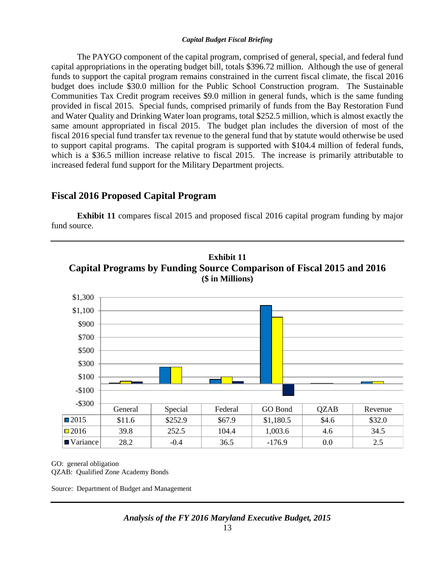The PAYGO component of the capital program, comprised of general, special, and federal fund capital appropriations in the operating budget bill, totals \$396.72 million. Although the use of general funds to support the capital program remains constrained in the current fiscal climate, the fiscal 2016 budget does include \$30.0 million for the Public School Construction program. The Sustainable Communities Tax Credit program receives \$9.0 million in general funds, which is the same funding provided in fiscal 2015. Special funds, comprised primarily of funds from the Bay Restoration Fund and Water Quality and Drinking Water loan programs, total \$252.5 million, which is almost exactly the same amount appropriated in fiscal 2015. The budget plan includes the diversion of most of the fiscal 2016 special fund transfer tax revenue to the general fund that by statute would otherwise be used to support capital programs. The capital program is supported with \$104.4 million of federal funds, which is a \$36.5 million increase relative to fiscal 2015. The increase is primarily attributable to increased federal fund support for the Military Department projects.

# **Fiscal 2016 Proposed Capital Program**

**Exhibit 11** compares fiscal 2015 and proposed fiscal 2016 capital program funding by major fund source.





GO: general obligation

QZAB: Qualified Zone Academy Bonds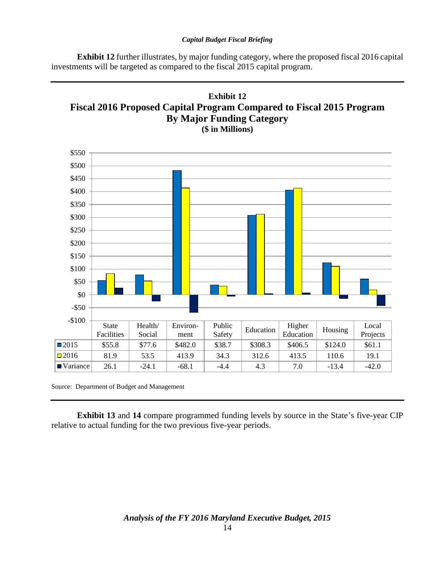**Exhibit 12** further illustrates, by major funding category, where the proposed fiscal 2016 capital investments will be targeted as compared to the fiscal 2015 capital program.





Source: Department of Budget and Management

**Exhibit 13** and **14** compare programmed funding levels by source in the State's five-year CIP relative to actual funding for the two previous five-year periods.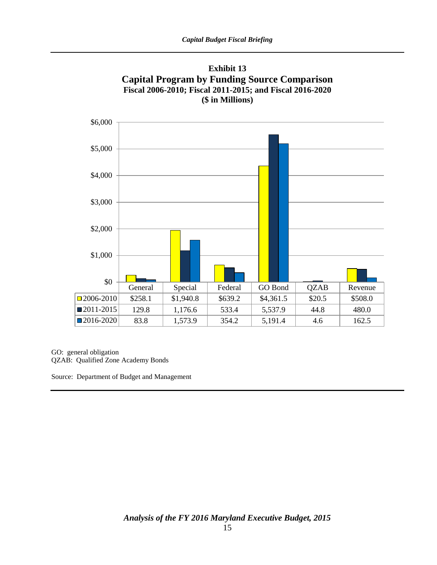

**Exhibit 13 Capital Program by Funding Source Comparison**

GO: general obligation QZAB: Qualified Zone Academy Bonds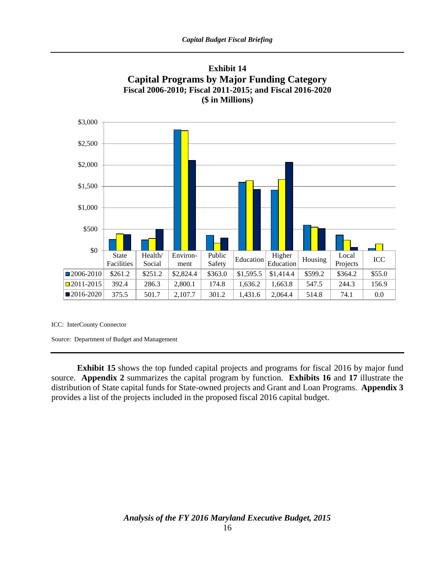



ICC: InterCounty Connector

Source: Department of Budget and Management

**Exhibit 15** shows the top funded capital projects and programs for fiscal 2016 by major fund source. **Appendix 2** summarizes the capital program by function. **Exhibits 16** and **17** illustrate the distribution of State capital funds for State-owned projects and Grant and Loan Programs. **Appendix 3** provides a list of the projects included in the proposed fiscal 2016 capital budget.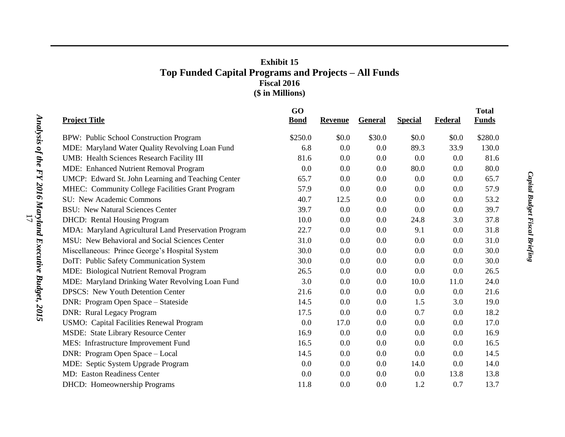# **Exhibit 15 Top Funded Capital Programs and Projects – All Funds Fiscal 2016 (\$ in Millions)**

|                                                      | GO          |                |                |                |         | <b>Total</b> |
|------------------------------------------------------|-------------|----------------|----------------|----------------|---------|--------------|
| <b>Project Title</b>                                 | <b>Bond</b> | <b>Revenue</b> | <b>General</b> | <b>Special</b> | Federal | <b>Funds</b> |
| BPW: Public School Construction Program              | \$250.0     | \$0.0          | \$30.0         | \$0.0          | \$0.0   | \$280.0      |
| MDE: Maryland Water Quality Revolving Loan Fund      | 6.8         | 0.0            | 0.0            | 89.3           | 33.9    | 130.0        |
| UMB: Health Sciences Research Facility III           | 81.6        | 0.0            | 0.0            | 0.0            | 0.0     | 81.6         |
| <b>MDE: Enhanced Nutrient Removal Program</b>        | 0.0         | 0.0            | 0.0            | 80.0           | 0.0     | 80.0         |
| UMCP: Edward St. John Learning and Teaching Center   | 65.7        | 0.0            | 0.0            | 0.0            | 0.0     | 65.7         |
| MHEC: Community College Facilities Grant Program     | 57.9        | 0.0            | 0.0            | 0.0            | 0.0     | 57.9         |
| <b>SU:</b> New Academic Commons                      | 40.7        | 12.5           | 0.0            | 0.0            | 0.0     | 53.2         |
| <b>BSU:</b> New Natural Sciences Center              | 39.7        | 0.0            | 0.0            | 0.0            | 0.0     | 39.7         |
| <b>DHCD:</b> Rental Housing Program                  | 10.0        | 0.0            | 0.0            | 24.8           | 3.0     | 37.8         |
| MDA: Maryland Agricultural Land Preservation Program | 22.7        | 0.0            | 0.0            | 9.1            | 0.0     | 31.8         |
| MSU: New Behavioral and Social Sciences Center       | 31.0        | 0.0            | 0.0            | 0.0            | 0.0     | 31.0         |
| Miscellaneous: Prince George's Hospital System       | 30.0        | 0.0            | 0.0            | 0.0            | 0.0     | 30.0         |
| DoIT: Public Safety Communication System             | 30.0        | 0.0            | 0.0            | 0.0            | 0.0     | 30.0         |
| <b>MDE: Biological Nutrient Removal Program</b>      | 26.5        | 0.0            | 0.0            | 0.0            | 0.0     | 26.5         |
| MDE: Maryland Drinking Water Revolving Loan Fund     | 3.0         | 0.0            | 0.0            | 10.0           | 11.0    | 24.0         |
| <b>DPSCS:</b> New Youth Detention Center             | 21.6        | 0.0            | 0.0            | 0.0            | 0.0     | 21.6         |
| DNR: Program Open Space - Stateside                  | 14.5        | 0.0            | 0.0            | 1.5            | 3.0     | 19.0         |
| <b>DNR:</b> Rural Legacy Program                     | 17.5        | 0.0            | 0.0            | 0.7            | 0.0     | 18.2         |
| USMO: Capital Facilities Renewal Program             | 0.0         | 17.0           | 0.0            | 0.0            | 0.0     | 17.0         |
| <b>MSDE: State Library Resource Center</b>           | 16.9        | 0.0            | 0.0            | 0.0            | 0.0     | 16.9         |
| MES: Infrastructure Improvement Fund                 | 16.5        | 0.0            | 0.0            | 0.0            | 0.0     | 16.5         |
| DNR: Program Open Space - Local                      | 14.5        | 0.0            | 0.0            | 0.0            | 0.0     | 14.5         |
| MDE: Septic System Upgrade Program                   | 0.0         | 0.0            | 0.0            | 14.0           | 0.0     | 14.0         |
| <b>MD</b> : Easton Readiness Center                  | 0.0         | 0.0            | 0.0            | 0.0            | 13.8    | 13.8         |
| <b>DHCD:</b> Homeownership Programs                  | 11.8        | 0.0            | 0.0            | 1.2            | 0.7     | 13.7         |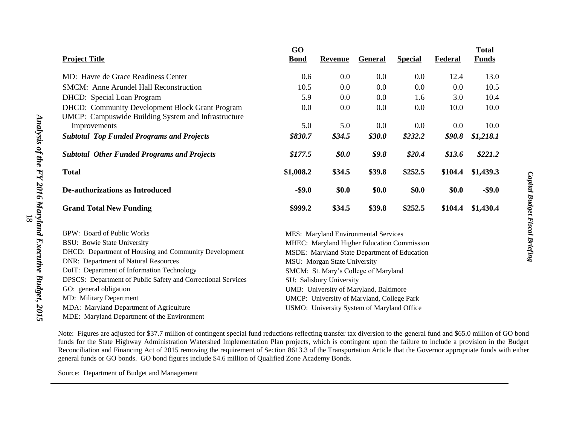|                                                                                                               | GO                                           |                                      |                |                |         | <b>Total</b> |  |  |
|---------------------------------------------------------------------------------------------------------------|----------------------------------------------|--------------------------------------|----------------|----------------|---------|--------------|--|--|
| <b>Project Title</b>                                                                                          | <b>Bond</b>                                  | Revenue                              | <b>General</b> | <b>Special</b> | Federal | <b>Funds</b> |  |  |
| MD: Havre de Grace Readiness Center                                                                           | 0.6                                          | 0.0                                  | 0.0            | 0.0            | 12.4    | 13.0         |  |  |
| <b>SMCM:</b> Anne Arundel Hall Reconstruction                                                                 | 10.5                                         | 0.0                                  | 0.0            | 0.0            | 0.0     | 10.5         |  |  |
| DHCD: Special Loan Program                                                                                    | 5.9                                          | 0.0                                  | 0.0            | 1.6            | 3.0     | 10.4         |  |  |
| <b>DHCD:</b> Community Development Block Grant Program<br>UMCP: Campuswide Building System and Infrastructure | 0.0                                          | 0.0                                  | 0.0            | 0.0            | 10.0    | 10.0         |  |  |
| Improvements                                                                                                  | 5.0                                          | 5.0                                  | 0.0            | 0.0            | 0.0     | 10.0         |  |  |
| <b>Subtotal Top Funded Programs and Projects</b>                                                              | \$830.7                                      | \$34.5                               | \$30.0         | \$232.2        | \$90.8  | \$1,218.1    |  |  |
| <b>Subtotal Other Funded Programs and Projects</b>                                                            | \$177.5                                      | \$0.0                                | \$9.8          | \$20.4\$       | \$13.6  | \$221.2      |  |  |
| <b>Total</b>                                                                                                  | \$1,008.2                                    | \$34.5                               | \$39.8         | \$252.5        | \$104.4 | \$1,439.3    |  |  |
| De-authorizations as Introduced                                                                               | $-$ \$9.0                                    | \$0.0                                | \$0.0          | \$0.0          | \$0.0   | $-$ \$9.0    |  |  |
| <b>Grand Total New Funding</b>                                                                                | \$999.2                                      | \$34.5                               | \$39.8         | \$252.5        | \$104.4 | \$1,430.4    |  |  |
| <b>BPW: Board of Public Works</b>                                                                             |                                              | MES: Maryland Environmental Services |                |                |         |              |  |  |
| <b>BSU: Bowie State University</b>                                                                            | MHEC: Maryland Higher Education Commission   |                                      |                |                |         |              |  |  |
| DHCD: Department of Housing and Community Development                                                         | MSDE: Maryland State Department of Education |                                      |                |                |         |              |  |  |
| <b>DNR: Department of Natural Resources</b>                                                                   | MSU: Morgan State University                 |                                      |                |                |         |              |  |  |
| DoIT: Department of Information Technology                                                                    | SMCM: St. Mary's College of Maryland         |                                      |                |                |         |              |  |  |
| DPSCS: Department of Public Safety and Correctional Services                                                  | SU: Salisbury University                     |                                      |                |                |         |              |  |  |
| GO: general obligation                                                                                        | UMB: University of Maryland, Baltimore       |                                      |                |                |         |              |  |  |
| <b>MD:</b> Military Department                                                                                | UMCP: University of Maryland, College Park   |                                      |                |                |         |              |  |  |

Note: Figures are adjusted for \$37.7 million of contingent special fund reductions reflecting transfer tax diversion to the general fund and \$65.0 million of GO bond funds for the State Highway Administration Watershed Implementation Plan projects, which is contingent upon the failure to include a provision in the Budget Reconciliation and Financing Act of 2015 removing the requirement of Section 8613.3 of the Transportation Article that the Governor appropriate funds with either general funds or GO bonds. GO bond figures include \$4.6 million of Qualified Zone Academy Bonds.

Source: Department of Budget and Management

MDE: Maryland Department of the Environment

MDA: Maryland Department of Agriculture USMO: University System of Maryland Office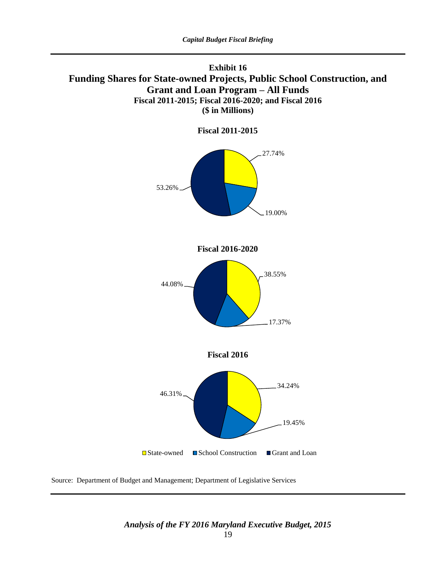



**Fiscal 2011-2015** 

Source: Department of Budget and Management; Department of Legislative Services

*Analysis of the FY 2016 Maryland Executive Budget, 2015*

**□ State-owned** ■ School Construction ■ Grant and Loan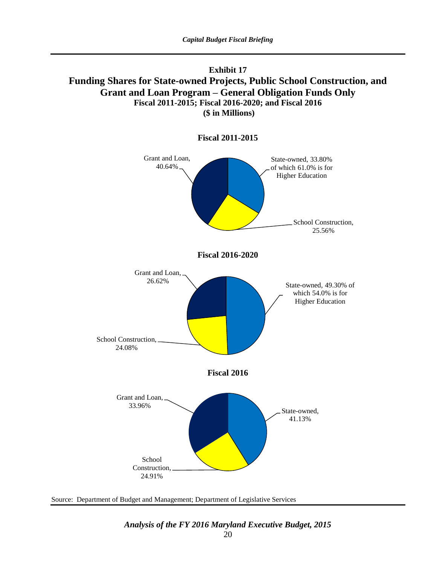# **Exhibit 17 Funding Shares for State-owned Projects, Public School Construction, and Grant and Loan Program – General Obligation Funds Only Fiscal 2011-2015; Fiscal 2016-2020; and Fiscal 2016 (\$ in Millions)**



Source: Department of Budget and Management; Department of Legislative Services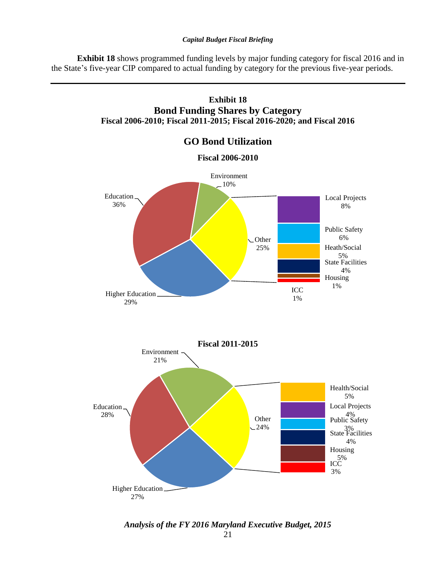**Exhibit 18** shows programmed funding levels by major funding category for fiscal 2016 and in the State's five-year CIP compared to actual funding by category for the previous five-year periods.

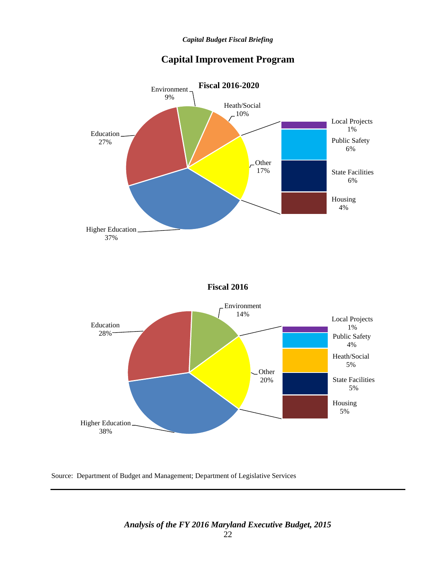

# **Capital Improvement Program**

**Fiscal 2016**



Source: Department of Budget and Management; Department of Legislative Services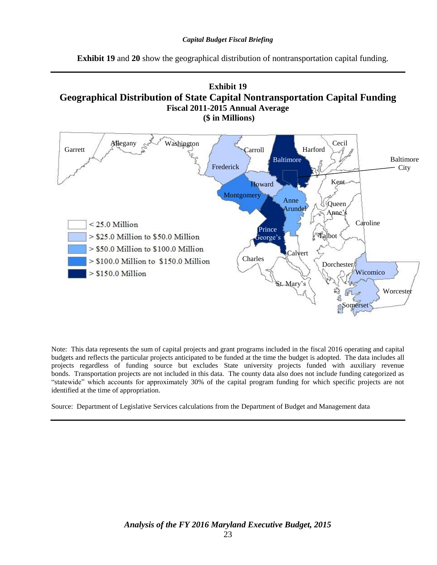**Exhibit 19** and **20** show the geographical distribution of nontransportation capital funding.





Note: This data represents the sum of capital projects and grant programs included in the fiscal 2016 operating and capital budgets and reflects the particular projects anticipated to be funded at the time the budget is adopted. The data includes all projects regardless of funding source but excludes State university projects funded with auxiliary revenue bonds. Transportation projects are not included in this data. The county data also does not include funding categorized as "statewide" which accounts for approximately 30% of the capital program funding for which specific projects are not identified at the time of appropriation.

Source: Department of Legislative Services calculations from the Department of Budget and Management data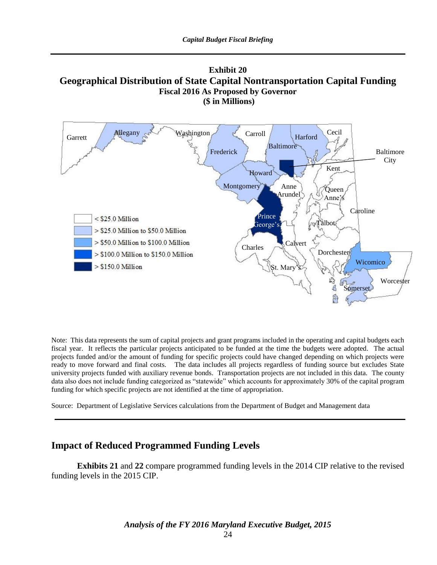



Note: This data represents the sum of capital projects and grant programs included in the operating and capital budgets each fiscal year. It reflects the particular projects anticipated to be funded at the time the budgets were adopted. The actual projects funded and/or the amount of funding for specific projects could have changed depending on which projects were ready to move forward and final costs. The data includes all projects regardless of funding source but excludes State university projects funded with auxiliary revenue bonds. Transportation projects are not included in this data. The county data also does not include funding categorized as "statewide" which accounts for approximately 30% of the capital program funding for which specific projects are not identified at the time of appropriation.

Source: Department of Legislative Services calculations from the Department of Budget and Management data

### **Impact of Reduced Programmed Funding Levels**

**Exhibits 21** and **22** compare programmed funding levels in the 2014 CIP relative to the revised funding levels in the 2015 CIP.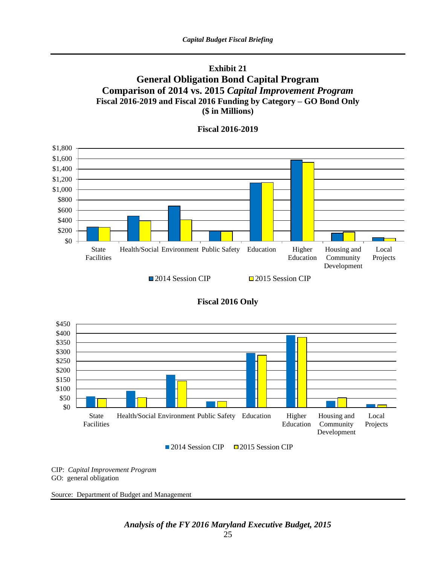# **Exhibit 21 General Obligation Bond Capital Program Comparison of 2014 vs. 2015** *Capital Improvement Program* **Fiscal 2016-2019 and Fiscal 2016 Funding by Category – GO Bond Only (\$ in Millions)**



**Fiscal 2016-2019**





CIP: *Capital Improvement Program* GO: general obligation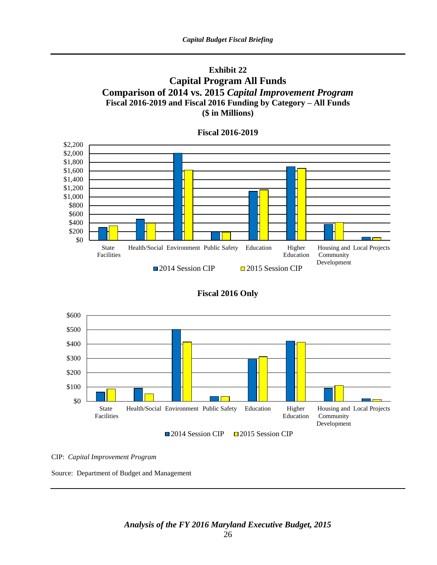# **Exhibit 22 Capital Program All Funds Comparison of 2014 vs. 2015** *Capital Improvement Program* **Fiscal 2016-2019 and Fiscal 2016 Funding by Category – All Funds (\$ in Millions)**



**Fiscal 2016-2019**





CIP: *Capital Improvement Program*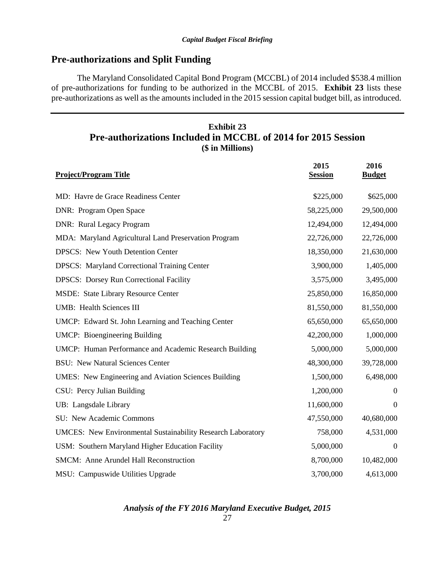# **Pre-authorizations and Split Funding**

The Maryland Consolidated Capital Bond Program (MCCBL) of 2014 included \$538.4 million of pre-authorizations for funding to be authorized in the MCCBL of 2015. **Exhibit 23** lists these pre-authorizations as well as the amounts included in the 2015 session capital budget bill, as introduced.

# **Exhibit 23 Pre-authorizations Included in MCCBL of 2014 for 2015 Session (\$ in Millions)**

| <b>Project/Program Title</b>                                       | 2015<br><b>Session</b> | 2016<br><b>Budget</b> |
|--------------------------------------------------------------------|------------------------|-----------------------|
| MD: Havre de Grace Readiness Center                                | \$225,000              | \$625,000             |
| DNR: Program Open Space                                            | 58,225,000             | 29,500,000            |
| <b>DNR:</b> Rural Legacy Program                                   | 12,494,000             | 12,494,000            |
| MDA: Maryland Agricultural Land Preservation Program               | 22,726,000             | 22,726,000            |
| <b>DPSCS:</b> New Youth Detention Center                           | 18,350,000             | 21,630,000            |
| <b>DPSCS:</b> Maryland Correctional Training Center                | 3,900,000              | 1,405,000             |
| <b>DPSCS: Dorsey Run Correctional Facility</b>                     | 3,575,000              | 3,495,000             |
| <b>MSDE: State Library Resource Center</b>                         | 25,850,000             | 16,850,000            |
| <b>UMB:</b> Health Sciences III                                    | 81,550,000             | 81,550,000            |
| UMCP: Edward St. John Learning and Teaching Center                 | 65,650,000             | 65,650,000            |
| <b>UMCP:</b> Bioengineering Building                               | 42,200,000             | 1,000,000             |
| UMCP: Human Performance and Academic Research Building             | 5,000,000              | 5,000,000             |
| <b>BSU:</b> New Natural Sciences Center                            | 48,300,000             | 39,728,000            |
| UMES: New Engineering and Aviation Sciences Building               | 1,500,000              | 6,498,000             |
| CSU: Percy Julian Building                                         | 1,200,000              | $\overline{0}$        |
| UB: Langsdale Library                                              | 11,600,000             | $\overline{0}$        |
| SU: New Academic Commons                                           | 47,550,000             | 40,680,000            |
| <b>UMCES:</b> New Environmental Sustainability Research Laboratory | 758,000                | 4,531,000             |
| USM: Southern Maryland Higher Education Facility                   | 5,000,000              | $\theta$              |
| <b>SMCM:</b> Anne Arundel Hall Reconstruction                      | 8,700,000              | 10,482,000            |
| MSU: Campuswide Utilities Upgrade                                  | 3,700,000              | 4,613,000             |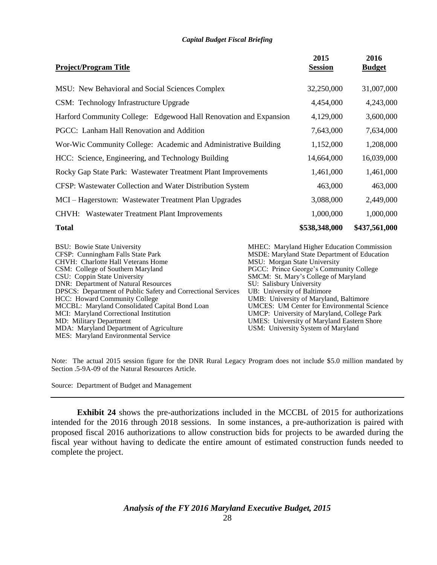| <b>Project/Program Title</b>                                      | 2015<br><b>Session</b> | 2016<br><b>Budget</b> |
|-------------------------------------------------------------------|------------------------|-----------------------|
| MSU: New Behavioral and Social Sciences Complex                   | 32,250,000             | 31,007,000            |
| CSM: Technology Infrastructure Upgrade                            | 4,454,000              | 4,243,000             |
| Harford Community College: Edgewood Hall Renovation and Expansion | 4,129,000              | 3,600,000             |
| PGCC: Lanham Hall Renovation and Addition                         | 7,643,000              | 7,634,000             |
| Wor-Wic Community College: Academic and Administrative Building   | 1,152,000              | 1,208,000             |
| HCC: Science, Engineering, and Technology Building                | 14,664,000             | 16,039,000            |
| Rocky Gap State Park: Wastewater Treatment Plant Improvements     | 1,461,000              | 1,461,000             |
| CFSP: Wastewater Collection and Water Distribution System         | 463,000                | 463,000               |
| MCI-Hagerstown: Wastewater Treatment Plan Upgrades                | 3,088,000              | 2,449,000             |
| <b>CHVH:</b> Wastewater Treatment Plant Improvements              | 1,000,000              | 1,000,000             |
| <b>Total</b>                                                      | \$538,348,000          | \$437,561,000         |

| <b>BSU:</b> Bowie State University<br>CFSP: Cunningham Falls State Park<br>CHVH: Charlotte Hall Veterans Home<br>CSM: College of Southern Maryland<br>CSU: Coppin State University<br><b>DNR:</b> Department of Natural Resources<br>DPSCS: Department of Public Safety and Correctional Services<br>HCC: Howard Community College<br>MCCBL: Maryland Consolidated Capital Bond Loan<br>MCI: Maryland Correctional Institution<br><b>MD:</b> Military Department | <b>MHEC:</b> Maryland Higher Education Commission<br>MSDE: Maryland State Department of Education<br>MSU: Morgan State University<br>PGCC: Prince George's Community College<br>SMCM: St. Mary's College of Maryland<br>SU: Salisbury University<br>UB: University of Baltimore<br>UMB: University of Maryland, Baltimore<br><b>UMCES: UM Center for Environmental Science</b><br>UMCP: University of Maryland, College Park<br><b>UMES:</b> University of Maryland Eastern Shore |
|------------------------------------------------------------------------------------------------------------------------------------------------------------------------------------------------------------------------------------------------------------------------------------------------------------------------------------------------------------------------------------------------------------------------------------------------------------------|-----------------------------------------------------------------------------------------------------------------------------------------------------------------------------------------------------------------------------------------------------------------------------------------------------------------------------------------------------------------------------------------------------------------------------------------------------------------------------------|
|                                                                                                                                                                                                                                                                                                                                                                                                                                                                  |                                                                                                                                                                                                                                                                                                                                                                                                                                                                                   |
| MDA: Maryland Department of Agriculture                                                                                                                                                                                                                                                                                                                                                                                                                          | USM: University System of Maryland                                                                                                                                                                                                                                                                                                                                                                                                                                                |
| MES: Maryland Environmental Service                                                                                                                                                                                                                                                                                                                                                                                                                              |                                                                                                                                                                                                                                                                                                                                                                                                                                                                                   |

Note: The actual 2015 session figure for the DNR Rural Legacy Program does not include \$5.0 million mandated by Section .5-9A-09 of the Natural Resources Article.

Source: Department of Budget and Management

**Exhibit 24** shows the pre-authorizations included in the MCCBL of 2015 for authorizations intended for the 2016 through 2018 sessions. In some instances, a pre-authorization is paired with proposed fiscal 2016 authorizations to allow construction bids for projects to be awarded during the fiscal year without having to dedicate the entire amount of estimated construction funds needed to complete the project.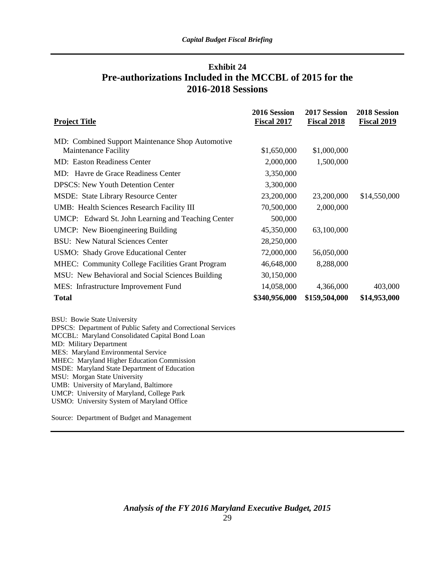# **Exhibit 24 Pre-authorizations Included in the MCCBL of 2015 for the 2016-2018 Sessions**

| <b>Project Title</b>                                                                                                                                                                   | 2016 Session<br><b>Fiscal 2017</b> | 2017 Session<br><b>Fiscal 2018</b> | 2018 Session<br><b>Fiscal 2019</b> |
|----------------------------------------------------------------------------------------------------------------------------------------------------------------------------------------|------------------------------------|------------------------------------|------------------------------------|
| MD: Combined Support Maintenance Shop Automotive                                                                                                                                       |                                    |                                    |                                    |
| <b>Maintenance Facility</b>                                                                                                                                                            | \$1,650,000                        | \$1,000,000                        |                                    |
| <b>MD:</b> Easton Readiness Center                                                                                                                                                     | 2,000,000                          | 1,500,000                          |                                    |
| MD: Havre de Grace Readiness Center                                                                                                                                                    | 3,350,000                          |                                    |                                    |
| <b>DPSCS:</b> New Youth Detention Center                                                                                                                                               | 3,300,000                          |                                    |                                    |
| <b>MSDE: State Library Resource Center</b>                                                                                                                                             | 23,200,000                         | 23,200,000                         | \$14,550,000                       |
| UMB: Health Sciences Research Facility III                                                                                                                                             | 70,500,000                         | 2,000,000                          |                                    |
| UMCP: Edward St. John Learning and Teaching Center                                                                                                                                     | 500,000                            |                                    |                                    |
| UMCP: New Bioengineering Building                                                                                                                                                      | 45,350,000                         | 63,100,000                         |                                    |
| <b>BSU:</b> New Natural Sciences Center                                                                                                                                                | 28,250,000                         |                                    |                                    |
| <b>USMO:</b> Shady Grove Educational Center                                                                                                                                            | 72,000,000                         | 56,050,000                         |                                    |
| MHEC: Community College Facilities Grant Program                                                                                                                                       | 46,648,000                         | 8,288,000                          |                                    |
| MSU: New Behavioral and Social Sciences Building                                                                                                                                       | 30,150,000                         |                                    |                                    |
| MES: Infrastructure Improvement Fund                                                                                                                                                   | 14,058,000                         | 4,366,000                          | 403,000                            |
| <b>Total</b>                                                                                                                                                                           | \$340,956,000                      | \$159,504,000                      | \$14,953,000                       |
| <b>BSU: Bowie State University</b><br>DPSCS: Department of Public Safety and Correctional Services<br>MCCBL: Maryland Consolidated Capital Bond Loan<br><b>MD: Military Department</b> |                                    |                                    |                                    |

MES: Maryland Environmental Service

MHEC: Maryland Higher Education Commission

MSDE: Maryland State Department of Education

MSU: Morgan State University

UMB: University of Maryland, Baltimore

UMCP: University of Maryland, College Park

USMO: University System of Maryland Office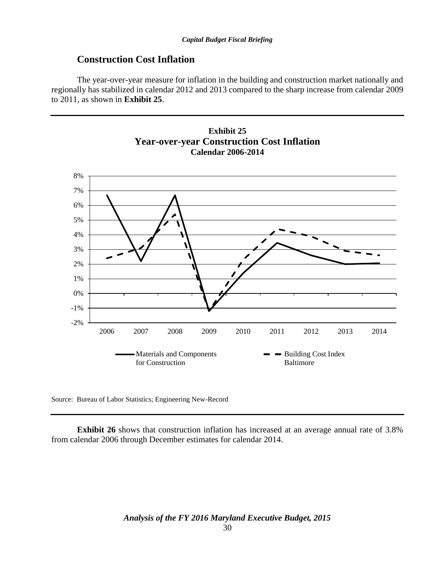# **Construction Cost Inflation**

The year-over-year measure for inflation in the building and construction market nationally and regionally has stabilized in calendar 2012 and 2013 compared to the sharp increase from calendar 2009 to 2011, as shown in **Exhibit 25**.





Source: Bureau of Labor Statistics; Engineering New-Record

**Exhibit 26** shows that construction inflation has increased at an average annual rate of 3.8% from calendar 2006 through December estimates for calendar 2014.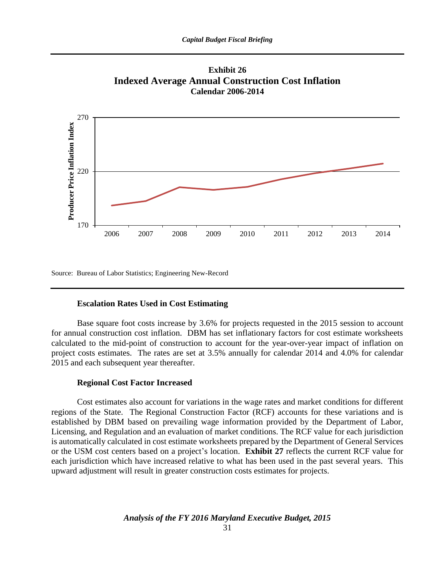

**Exhibit 26 Indexed Average Annual Construction Cost Inflation Calendar 2006-2014**

Source: Bureau of Labor Statistics; Engineering New-Record

#### **Escalation Rates Used in Cost Estimating**

Base square foot costs increase by 3.6% for projects requested in the 2015 session to account for annual construction cost inflation. DBM has set inflationary factors for cost estimate worksheets calculated to the mid-point of construction to account for the year-over-year impact of inflation on project costs estimates. The rates are set at 3.5% annually for calendar 2014 and 4.0% for calendar 2015 and each subsequent year thereafter.

#### **Regional Cost Factor Increased**

Cost estimates also account for variations in the wage rates and market conditions for different regions of the State. The Regional Construction Factor (RCF) accounts for these variations and is established by DBM based on prevailing wage information provided by the Department of Labor, Licensing, and Regulation and an evaluation of market conditions. The RCF value for each jurisdiction is automatically calculated in cost estimate worksheets prepared by the Department of General Services or the USM cost centers based on a project's location. **Exhibit 27** reflects the current RCF value for each jurisdiction which have increased relative to what has been used in the past several years. This upward adjustment will result in greater construction costs estimates for projects.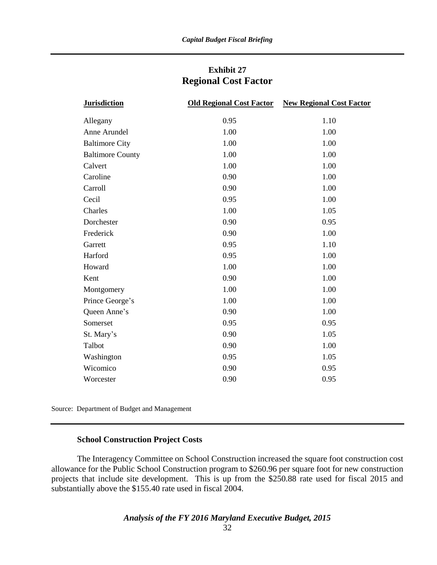# **Exhibit 27 Regional Cost Factor**

| <b>Jurisdiction</b>     | <b>Old Regional Cost Factor</b> | <b>New Regional Cost Factor</b> |
|-------------------------|---------------------------------|---------------------------------|
| Allegany                | 0.95                            | 1.10                            |
| Anne Arundel            | 1.00                            | 1.00                            |
| <b>Baltimore City</b>   | 1.00                            | 1.00                            |
| <b>Baltimore County</b> | 1.00                            | 1.00                            |
| Calvert                 | 1.00                            | 1.00                            |
| Caroline                | 0.90                            | 1.00                            |
| Carroll                 | 0.90                            | 1.00                            |
| Cecil                   | 0.95                            | 1.00                            |
| Charles                 | 1.00                            | 1.05                            |
| Dorchester              | 0.90                            | 0.95                            |
| Frederick               | 0.90                            | 1.00                            |
| Garrett                 | 0.95                            | 1.10                            |
| Harford                 | 0.95                            | 1.00                            |
| Howard                  | 1.00                            | 1.00                            |
| Kent                    | 0.90                            | 1.00                            |
| Montgomery              | 1.00                            | 1.00                            |
| Prince George's         | 1.00                            | 1.00                            |
| Queen Anne's            | 0.90                            | 1.00                            |
| Somerset                | 0.95                            | 0.95                            |
| St. Mary's              | 0.90                            | 1.05                            |
| Talbot                  | 0.90                            | 1.00                            |
| Washington              | 0.95                            | 1.05                            |
| Wicomico                | 0.90                            | 0.95                            |
| Worcester               | 0.90                            | 0.95                            |

Source: Department of Budget and Management

#### **School Construction Project Costs**

The Interagency Committee on School Construction increased the square foot construction cost allowance for the Public School Construction program to \$260.96 per square foot for new construction projects that include site development. This is up from the \$250.88 rate used for fiscal 2015 and substantially above the \$155.40 rate used in fiscal 2004.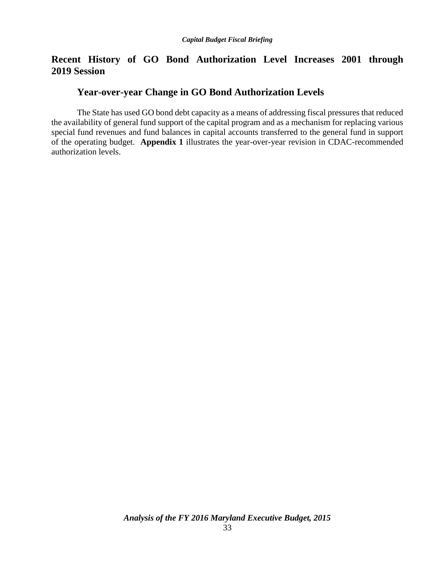# **Recent History of GO Bond Authorization Level Increases 2001 through 2019 Session**

# **Year-over-year Change in GO Bond Authorization Levels**

The State has used GO bond debt capacity as a means of addressing fiscal pressures that reduced the availability of general fund support of the capital program and as a mechanism for replacing various special fund revenues and fund balances in capital accounts transferred to the general fund in support of the operating budget. **Appendix 1** illustrates the year-over-year revision in CDAC-recommended authorization levels.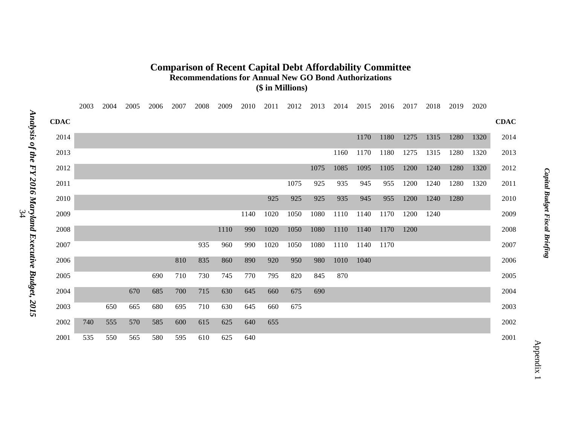## **Comparison of Recent Capital Debt Affordability Committee Recommendations for Annual New GO Bond Authorizations (\$ in Millions)**

|             | 2003 | 2004 | 2005 | 2006 | 2007 | 2008 | 2009 | 2010 | 2011 | 2012 | 2013 | 2014 | 2015 | 2016 | 2017 | 2018 | 2019 | 2020 |             |
|-------------|------|------|------|------|------|------|------|------|------|------|------|------|------|------|------|------|------|------|-------------|
| <b>CDAC</b> |      |      |      |      |      |      |      |      |      |      |      |      |      |      |      |      |      |      | <b>CDAC</b> |
| 2014        |      |      |      |      |      |      |      |      |      |      |      |      | 1170 | 1180 | 1275 | 1315 | 1280 | 1320 | 2014        |
| 2013        |      |      |      |      |      |      |      |      |      |      |      | 1160 | 1170 | 1180 | 1275 | 1315 | 1280 | 1320 | 2013        |
| 2012        |      |      |      |      |      |      |      |      |      |      | 1075 | 1085 | 1095 | 1105 | 1200 | 1240 | 1280 | 1320 | 2012        |
| 2011        |      |      |      |      |      |      |      |      |      | 1075 | 925  | 935  | 945  | 955  | 1200 | 1240 | 1280 | 1320 | 2011        |
| 2010        |      |      |      |      |      |      |      |      | 925  | 925  | 925  | 935  | 945  | 955  | 1200 | 1240 | 1280 |      | 2010        |
| 2009        |      |      |      |      |      |      |      | 1140 | 1020 | 1050 | 1080 | 1110 | 1140 | 1170 | 1200 | 1240 |      |      | 2009        |
| 2008        |      |      |      |      |      |      | 1110 | 990  | 1020 | 1050 | 1080 | 1110 | 1140 | 1170 | 1200 |      |      |      | 2008        |
| 2007        |      |      |      |      |      | 935  | 960  | 990  | 1020 | 1050 | 1080 | 1110 | 1140 | 1170 |      |      |      |      | 2007        |
| 2006        |      |      |      |      | 810  | 835  | 860  | 890  | 920  | 950  | 980  | 1010 | 1040 |      |      |      |      |      | 2006        |
| 2005        |      |      |      | 690  | 710  | 730  | 745  | 770  | 795  | 820  | 845  | 870  |      |      |      |      |      |      | 2005        |
| 2004        |      |      | 670  | 685  | 700  | 715  | 630  | 645  | 660  | 675  | 690  |      |      |      |      |      |      |      | 2004        |
| 2003        |      | 650  | 665  | 680  | 695  | 710  | 630  | 645  | 660  | 675  |      |      |      |      |      |      |      |      | 2003        |
| 2002        | 740  | 555  | 570  | 585  | 600  | 615  | 625  | 640  | 655  |      |      |      |      |      |      |      |      |      | 2002        |
| 2001        | 535  | 550  | 565  | 580  | 595  | 610  | 625  | 640  |      |      |      |      |      |      |      |      |      |      | 2001        |

Analysis of the FY 2016 Maryland Executive Budget, 2015 *Analysis of the FY 2016 Maryland Executive Budget, 2015*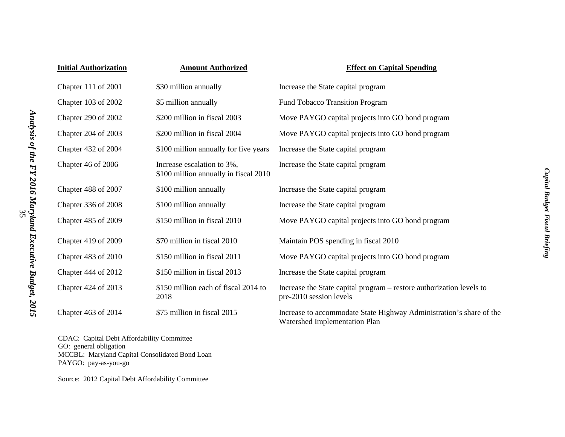# Chapter 111 of 2001 \$30 million annually Increase the State capital program Chapter 103 of 2002 \$5 million annually Fund Tobacco Transition Program Chapter 290 of 2002 \$200 million in fiscal 2003 Move PAYGO capital projects into GO bond program Chapter 204 of 2003 \$200 million in fiscal 2004 Move PAYGO capital projects into GO bond program Chapter 432 of 2004 \$100 million annually for five years Increase the State capital program Chapter 46 of 2006 Increase escalation to 3%, \$100 million annually in fiscal 2010 Increase the State capital program Chapter 488 of 2007 \$100 million annually Increase the State capital program Chapter 336 of 2008 \$100 million annually Increase the State capital program Chapter 485 of 2009 \$150 million in fiscal 2010 Move PAYGO capital projects into GO bond program Chapter 419 of 2009 \$70 million in fiscal 2010 Maintain POS spending in fiscal 2010 Chapter 483 of 2010 \$150 million in fiscal 2011 Move PAYGO capital projects into GO bond program Chapter 444 of 2012 \$150 million in fiscal 2013 Increase the State capital program Chapter 424 of 2013 \$150 million each of fiscal 2014 to 2018 Increase the State capital program – restore authorization levels to pre-2010 session levels Chapter 463 of 2014 \$75 million in fiscal 2015 Increase to accommodate State Highway Administration's share of the

Watershed Implementation Plan

**Initial Authorization Amount Authorized Effect on Capital Spending**

*Capital Budget Fiscal Briefing*

Capital Budget Fiscal Briefing

CDAC: Capital Debt Affordability Committee GO: general obligation MCCBL: Maryland Capital Consolidated Bond Loan PAYGO: pay-as-you-go

Source: 2012 Capital Debt Affordability Committee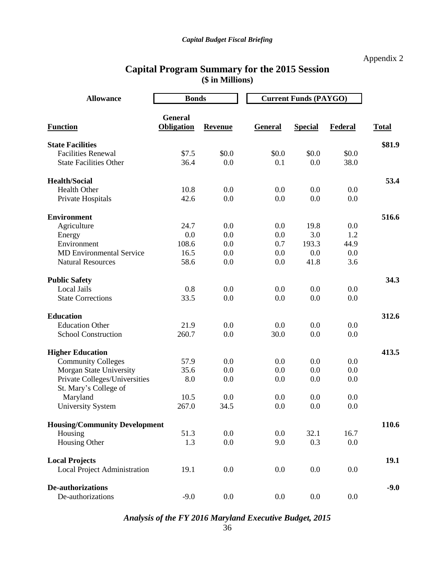# Appendix 2

| <b>Allowance</b>                     | <b>Bonds</b>                        |                | <b>Current Funds (PAYGO)</b> |                |         |              |
|--------------------------------------|-------------------------------------|----------------|------------------------------|----------------|---------|--------------|
| <b>Function</b>                      | <b>General</b><br><b>Obligation</b> | <b>Revenue</b> | <b>General</b>               | <b>Special</b> | Federal | <b>Total</b> |
| <b>State Facilities</b>              |                                     |                |                              |                |         | \$81.9       |
| <b>Facilities Renewal</b>            | \$7.5                               | \$0.0          | \$0.0                        | \$0.0          | \$0.0\$ |              |
| <b>State Facilities Other</b>        | 36.4                                | 0.0            | 0.1                          | 0.0            | 38.0    |              |
| <b>Health/Social</b>                 |                                     |                |                              |                |         | 53.4         |
| <b>Health Other</b>                  | 10.8                                | 0.0            | 0.0                          | 0.0            | 0.0     |              |
| Private Hospitals                    | 42.6                                | 0.0            | 0.0                          | 0.0            | 0.0     |              |
| <b>Environment</b>                   |                                     |                |                              |                |         | 516.6        |
| Agriculture                          | 24.7                                | 0.0            | 0.0                          | 19.8           | 0.0     |              |
| Energy                               | 0.0                                 | 0.0            | 0.0                          | 3.0            | 1.2     |              |
| Environment                          | 108.6                               | 0.0            | 0.7                          | 193.3          | 44.9    |              |
| <b>MD</b> Environmental Service      | 16.5                                | 0.0            | 0.0                          | 0.0            | 0.0     |              |
| <b>Natural Resources</b>             | 58.6                                | 0.0            | 0.0                          | 41.8           | 3.6     |              |
| <b>Public Safety</b>                 |                                     |                |                              |                |         | 34.3         |
| <b>Local Jails</b>                   | 0.8                                 | 0.0            | 0.0                          | 0.0            | 0.0     |              |
| <b>State Corrections</b>             | 33.5                                | 0.0            | 0.0                          | 0.0            | 0.0     |              |
| <b>Education</b>                     |                                     |                |                              |                |         | 312.6        |
| <b>Education Other</b>               | 21.9                                | 0.0            | 0.0                          | 0.0            | 0.0     |              |
| <b>School Construction</b>           | 260.7                               | 0.0            | 30.0                         | 0.0            | 0.0     |              |
| <b>Higher Education</b>              |                                     |                |                              |                |         | 413.5        |
| <b>Community Colleges</b>            | 57.9                                | 0.0            | 0.0                          | 0.0            | 0.0     |              |
| Morgan State University              | 35.6                                | 0.0            | 0.0                          | 0.0            | 0.0     |              |
| Private Colleges/Universities        | 8.0                                 | 0.0            | 0.0                          | 0.0            | 0.0     |              |
| St. Mary's College of                |                                     |                |                              |                |         |              |
| Maryland                             | 10.5                                | 0.0            | 0.0                          | 0.0            | 0.0     |              |
| <b>University System</b>             | 267.0                               | 34.5           | 0.0                          | 0.0            | 0.0     |              |
| <b>Housing/Community Development</b> |                                     |                |                              |                |         | 110.6        |
| Housing                              | 51.3                                | 0.0            | 0.0                          | 32.1           | 16.7    |              |
| Housing Other                        | 1.3                                 | 0.0            | 9.0                          | 0.3            | 0.0     |              |
| <b>Local Projects</b>                |                                     |                |                              |                |         | 19.1         |
| Local Project Administration         | 19.1                                | 0.0            | 0.0                          | 0.0            | 0.0     |              |
| De-authorizations                    |                                     |                |                              |                |         | $-9.0$       |
| De-authorizations                    | $-9.0$                              | 0.0            | 0.0                          | 0.0            | 0.0     |              |

# **Capital Program Summary for the 2015 Session (\$ in Millions)**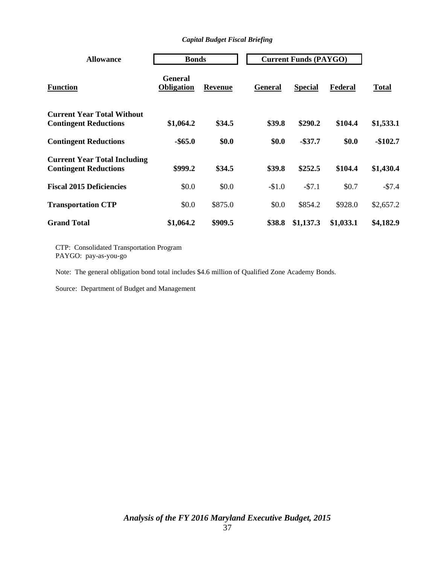|  |  |  | <b>Capital Budget Fiscal Briefing</b> |
|--|--|--|---------------------------------------|
|--|--|--|---------------------------------------|

| <b>Allowance</b>                                                    | <b>Bonds</b>                        |         |         | <b>Current Funds (PAYGO)</b> |           |              |  |  |
|---------------------------------------------------------------------|-------------------------------------|---------|---------|------------------------------|-----------|--------------|--|--|
| <b>Function</b>                                                     | <b>General</b><br><b>Obligation</b> | Revenue | General | <b>Special</b>               | Federal   | <b>Total</b> |  |  |
| <b>Current Year Total Without</b><br><b>Contingent Reductions</b>   | \$1,064.2                           | \$34.5  | \$39.8  | \$290.2                      | \$104.4   | \$1,533.1    |  |  |
| <b>Contingent Reductions</b>                                        | $-$ \$65.0                          | \$0.0   | \$0.0   | $-$ \$37.7                   | \$0.0     | $-$102.7$    |  |  |
| <b>Current Year Total Including</b><br><b>Contingent Reductions</b> | \$999.2                             | \$34.5  | \$39.8  | \$252.5                      | \$104.4   | \$1,430.4    |  |  |
| <b>Fiscal 2015 Deficiencies</b>                                     | \$0.0                               | \$0.0   | $-$1.0$ | $-57.1$                      | \$0.7     | $-\$7.4$     |  |  |
| <b>Transportation CTP</b>                                           | \$0.0                               | \$875.0 | \$0.0   | \$854.2                      | \$928.0   | \$2,657.2    |  |  |
| <b>Grand Total</b>                                                  | \$1,064.2                           | \$909.5 | \$38.8  | \$1,137.3                    | \$1,033.1 | \$4,182.9    |  |  |

CTP: Consolidated Transportation Program PAYGO: pay-as-you-go

Note: The general obligation bond total includes \$4.6 million of Qualified Zone Academy Bonds.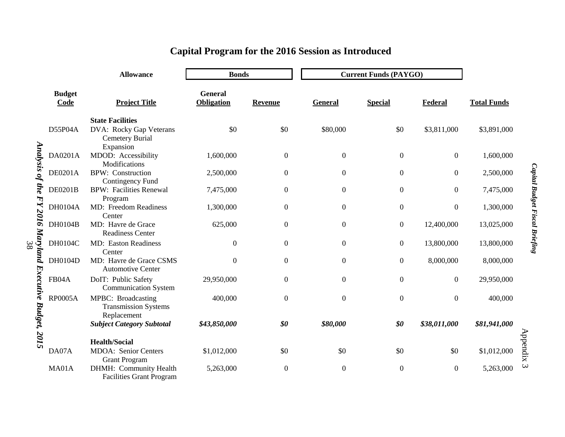# **Capital Program for the 2016 Session as Introduced**

|                                                         |                       | <b>Allowance</b>                                                 | <b>Bonds</b>                        |                                                   | <b>Current Funds (PAYGO)</b> |                  |                  |                    |
|---------------------------------------------------------|-----------------------|------------------------------------------------------------------|-------------------------------------|---------------------------------------------------|------------------------------|------------------|------------------|--------------------|
|                                                         | <b>Budget</b><br>Code | <b>Project Title</b>                                             | <b>General</b><br><b>Obligation</b> | <b>Revenue</b>                                    | <b>General</b>               | <b>Special</b>   | Federal          | <b>Total Funds</b> |
|                                                         |                       | <b>State Facilities</b>                                          |                                     |                                                   |                              |                  |                  |                    |
|                                                         | D55P04A               | DVA: Rocky Gap Veterans<br><b>Cemetery Burial</b><br>Expansion   | \$0                                 | \$0                                               | \$80,000                     | \$0              | \$3,811,000      | \$3,891,000        |
|                                                         | DA0201A               | MDOD: Accessibility<br>Modifications                             | 1,600,000                           | $\boldsymbol{0}$                                  | $\boldsymbol{0}$             | $\boldsymbol{0}$ | $\boldsymbol{0}$ | 1,600,000          |
|                                                         | <b>DE0201A</b>        | <b>BPW:</b> Construction<br><b>Contingency Fund</b>              | 2,500,000                           | $\boldsymbol{0}$                                  | $\boldsymbol{0}$             | $\boldsymbol{0}$ | $\boldsymbol{0}$ | 2,500,000          |
|                                                         | <b>DE0201B</b>        | <b>BPW: Facilities Renewal</b><br>Program                        | 7,475,000                           | $\boldsymbol{0}$                                  | $\boldsymbol{0}$             | $\overline{0}$   | $\boldsymbol{0}$ | 7,475,000          |
|                                                         | <b>DH0104A</b>        | MD: Freedom Readiness<br>Center                                  | 1,300,000                           | $\boldsymbol{0}$                                  | $\boldsymbol{0}$             | $\boldsymbol{0}$ | $\boldsymbol{0}$ | 1,300,000          |
|                                                         | DH0104B               | MD: Havre de Grace<br><b>Readiness Center</b>                    | 625,000                             | $\mathbf{0}$                                      | $\boldsymbol{0}$             | $\mathbf{0}$     | 12,400,000       | 13,025,000         |
| 38                                                      | DH0104C               | <b>MD:</b> Easton Readiness<br>Center                            | $\mathbf{0}$                        | $\boldsymbol{0}$                                  | $\boldsymbol{0}$             | $\boldsymbol{0}$ | 13,800,000       | 13,800,000         |
|                                                         | DH0104D               | MD: Havre de Grace CSMS<br><b>Automotive Center</b>              | $\overline{0}$                      | $\boldsymbol{0}$                                  | $\boldsymbol{0}$             | $\boldsymbol{0}$ | 8,000,000        | 8,000,000          |
|                                                         | FB04A                 | DoIT: Public Safety<br><b>Communication System</b>               | 29,950,000                          | $\boldsymbol{0}$                                  | $\boldsymbol{0}$             | $\boldsymbol{0}$ | $\boldsymbol{0}$ | 29,950,000         |
| Analysis of the FY 2016 Maryland Executive Budget, 2015 | <b>RP0005A</b>        | MPBC: Broadcasting<br><b>Transmission Systems</b><br>Replacement | 400,000                             | $\boldsymbol{0}$                                  | $\boldsymbol{0}$             | $\boldsymbol{0}$ | $\boldsymbol{0}$ | 400,000            |
|                                                         |                       | <b>Subject Category Subtotal</b>                                 | \$43,850,000                        | $\boldsymbol{\mathcal{S}}\boldsymbol{\mathit{0}}$ | \$80,000                     | \$0              | \$38,011,000     | \$81,941,000       |
|                                                         |                       | <b>Health/Social</b>                                             |                                     |                                                   |                              |                  |                  |                    |
|                                                         | DA07A                 | <b>MDOA: Senior Centers</b><br><b>Grant Program</b>              | \$1,012,000                         | \$0                                               | \$0                          | \$0              | \$0              | \$1,012,000        |
|                                                         | MA01A                 | <b>DHMH:</b> Community Health<br><b>Facilities Grant Program</b> | 5,263,000                           | $\boldsymbol{0}$                                  | $\boldsymbol{0}$             | $\boldsymbol{0}$ | $\boldsymbol{0}$ | 5,263,000          |

Appendix 3 Appendix 3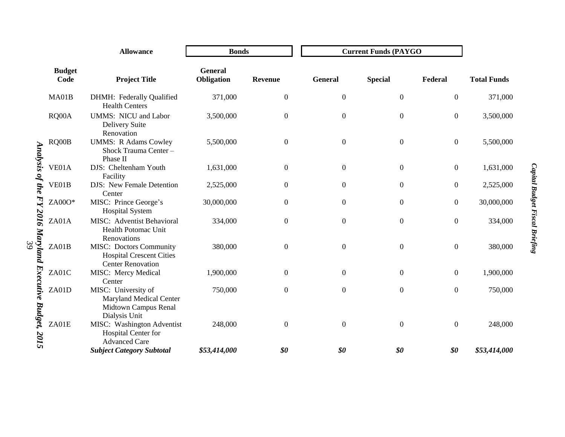|                                                         |                       | <b>Allowance</b>                                                                              | <b>Bonds</b>                 |                  | <b>Current Funds (PAYGO</b> |                  |                  |                    |
|---------------------------------------------------------|-----------------------|-----------------------------------------------------------------------------------------------|------------------------------|------------------|-----------------------------|------------------|------------------|--------------------|
|                                                         | <b>Budget</b><br>Code | <b>Project Title</b>                                                                          | <b>General</b><br>Obligation | <b>Revenue</b>   | <b>General</b>              | <b>Special</b>   | Federal          | <b>Total Funds</b> |
|                                                         | MA01B                 | DHMH: Federally Qualified<br><b>Health Centers</b>                                            | 371,000                      | $\boldsymbol{0}$ | $\boldsymbol{0}$            | $\boldsymbol{0}$ | $\boldsymbol{0}$ | 371,000            |
|                                                         | RQ00A                 | <b>UMMS: NICU and Labor</b><br>Delivery Suite<br>Renovation                                   | 3,500,000                    | $\boldsymbol{0}$ | $\boldsymbol{0}$            | $\boldsymbol{0}$ | $\boldsymbol{0}$ | 3,500,000          |
|                                                         | RQ00B                 | <b>UMMS:</b> R Adams Cowley<br>Shock Trauma Center-<br>Phase II                               | 5,500,000                    | $\boldsymbol{0}$ | $\boldsymbol{0}$            | $\boldsymbol{0}$ | $\boldsymbol{0}$ | 5,500,000          |
|                                                         | VE01A                 | DJS: Cheltenham Youth<br>Facility                                                             | 1,631,000                    | $\boldsymbol{0}$ | $\boldsymbol{0}$            | $\boldsymbol{0}$ | $\boldsymbol{0}$ | 1,631,000          |
|                                                         | VE01B                 | DJS: New Female Detention<br>Center                                                           | 2,525,000                    | $\boldsymbol{0}$ | $\boldsymbol{0}$            | $\boldsymbol{0}$ | $\boldsymbol{0}$ | 2,525,000          |
|                                                         | ZA00O*                | MISC: Prince George's<br><b>Hospital System</b>                                               | 30,000,000                   | $\boldsymbol{0}$ | $\boldsymbol{0}$            | $\boldsymbol{0}$ | $\boldsymbol{0}$ | 30,000,000         |
|                                                         | ZA01A                 | <b>MISC:</b> Adventist Behavioral<br><b>Health Potomac Unit</b><br>Renovations                | 334,000                      | $\boldsymbol{0}$ | $\boldsymbol{0}$            | $\boldsymbol{0}$ | $\boldsymbol{0}$ | 334,000            |
| $\mathcal{S}$                                           | ZA01B                 | <b>MISC: Doctors Community</b><br><b>Hospital Crescent Cities</b><br><b>Center Renovation</b> | 380,000                      | $\boldsymbol{0}$ | $\boldsymbol{0}$            | $\boldsymbol{0}$ | $\boldsymbol{0}$ | 380,000            |
|                                                         | ZA01C                 | MISC: Mercy Medical<br>Center                                                                 | 1,900,000                    | $\boldsymbol{0}$ | $\boldsymbol{0}$            | $\overline{0}$   | $\boldsymbol{0}$ | 1,900,000          |
| Analysis of the FY 2016 Maryland Executive Budget, 2015 | ZA01D                 | MISC: University of<br>Maryland Medical Center<br>Midtown Campus Renal<br>Dialysis Unit       | 750,000                      | $\boldsymbol{0}$ | $\boldsymbol{0}$            | $\overline{0}$   | $\boldsymbol{0}$ | 750,000            |
|                                                         | ZA01E                 | MISC: Washington Adventist<br>Hospital Center for<br><b>Advanced Care</b>                     | 248,000                      | $\boldsymbol{0}$ | $\boldsymbol{0}$            | $\boldsymbol{0}$ | $\boldsymbol{0}$ | 248,000            |
|                                                         |                       | <b>Subject Category Subtotal</b>                                                              | \$53,414,000                 | \$0              | \$0                         | \$0              | \$0              | \$53,414,000       |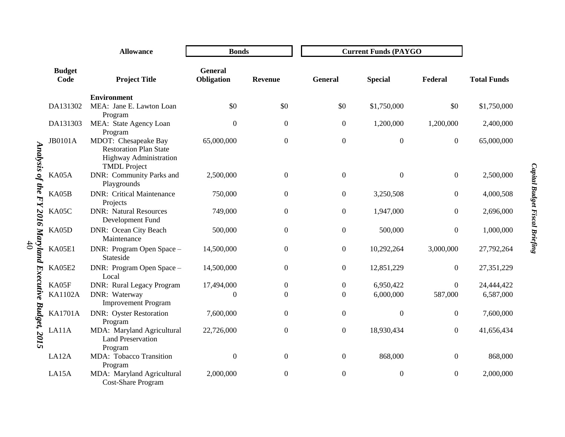|                                                         |                       | <b>Allowance</b>                                                                                       | <b>Bonds</b>                 |                  | <b>Current Funds (PAYGO</b> |                  |                  |                    |
|---------------------------------------------------------|-----------------------|--------------------------------------------------------------------------------------------------------|------------------------------|------------------|-----------------------------|------------------|------------------|--------------------|
|                                                         | <b>Budget</b><br>Code | <b>Project Title</b>                                                                                   | <b>General</b><br>Obligation | <b>Revenue</b>   | General                     | <b>Special</b>   | Federal          | <b>Total Funds</b> |
|                                                         |                       | <b>Environment</b>                                                                                     |                              |                  |                             |                  |                  |                    |
|                                                         | DA131302              | MEA: Jane E. Lawton Loan                                                                               | \$0                          | \$0              | \$0                         | \$1,750,000      | \$0              | \$1,750,000        |
|                                                         | DA131303              | Program<br>MEA: State Agency Loan<br>Program                                                           | $\overline{0}$               | $\overline{0}$   | $\boldsymbol{0}$            | 1,200,000        | 1,200,000        | 2,400,000          |
| Analysis of the FY 2016 Maryland Executive Budget, 2015 | <b>JB0101A</b>        | MDOT: Chesapeake Bay<br><b>Restoration Plan State</b><br>Highway Administration<br><b>TMDL</b> Project | 65,000,000                   | $\boldsymbol{0}$ | $\boldsymbol{0}$            | $\boldsymbol{0}$ | $\boldsymbol{0}$ | 65,000,000         |
|                                                         | KA05A                 | DNR: Community Parks and<br>Playgrounds                                                                | 2,500,000                    | $\boldsymbol{0}$ | $\boldsymbol{0}$            | $\mathbf{0}$     | $\boldsymbol{0}$ | 2,500,000          |
|                                                         | KA05B                 | <b>DNR:</b> Critical Maintenance<br>Projects                                                           | 750,000                      | $\boldsymbol{0}$ | $\boldsymbol{0}$            | 3,250,508        | $\boldsymbol{0}$ | 4,000,508          |
|                                                         | KA05C                 | <b>DNR:</b> Natural Resources<br>Development Fund                                                      | 749,000                      | $\boldsymbol{0}$ | $\boldsymbol{0}$            | 1,947,000        | $\boldsymbol{0}$ | 2,696,000          |
|                                                         | KA05D                 | DNR: Ocean City Beach<br>Maintenance                                                                   | 500,000                      | $\mathbf{0}$     | $\boldsymbol{0}$            | 500,000          | $\boldsymbol{0}$ | 1,000,000          |
| 40                                                      | KA05E1                | DNR: Program Open Space -<br>Stateside                                                                 | 14,500,000                   | $\overline{0}$   | $\boldsymbol{0}$            | 10,292,264       | 3,000,000        | 27,792,264         |
|                                                         | KA05E2                | DNR: Program Open Space -<br>Local                                                                     | 14,500,000                   | $\mathbf{0}$     | $\boldsymbol{0}$            | 12,851,229       | $\boldsymbol{0}$ | 27,351,229         |
|                                                         | KA05F                 | <b>DNR: Rural Legacy Program</b>                                                                       | 17,494,000                   | $\boldsymbol{0}$ | $\boldsymbol{0}$            | 6,950,422        | $\boldsymbol{0}$ | 24,444,422         |
|                                                         | <b>KA1102A</b>        | DNR: Waterway<br><b>Improvement Program</b>                                                            | $\Omega$                     | $\theta$         | $\mathbf{0}$                | 6,000,000        | 587,000          | 6,587,000          |
|                                                         | <b>KA1701A</b>        | <b>DNR:</b> Oyster Restoration<br>Program                                                              | 7,600,000                    | $\boldsymbol{0}$ | $\boldsymbol{0}$            | $\boldsymbol{0}$ | $\boldsymbol{0}$ | 7,600,000          |
|                                                         | LA11A                 | MDA: Maryland Agricultural<br><b>Land Preservation</b><br>Program                                      | 22,726,000                   | $\overline{0}$   | $\mathbf{0}$                | 18,930,434       | $\boldsymbol{0}$ | 41,656,434         |
|                                                         | LA12A                 | MDA: Tobacco Transition<br>Program                                                                     | $\theta$                     | $\theta$         | $\overline{0}$              | 868,000          | $\boldsymbol{0}$ | 868,000            |
|                                                         | LA15A                 | MDA: Maryland Agricultural<br><b>Cost-Share Program</b>                                                | 2,000,000                    | $\mathbf{0}$     | $\boldsymbol{0}$            | $\boldsymbol{0}$ | $\boldsymbol{0}$ | 2,000,000          |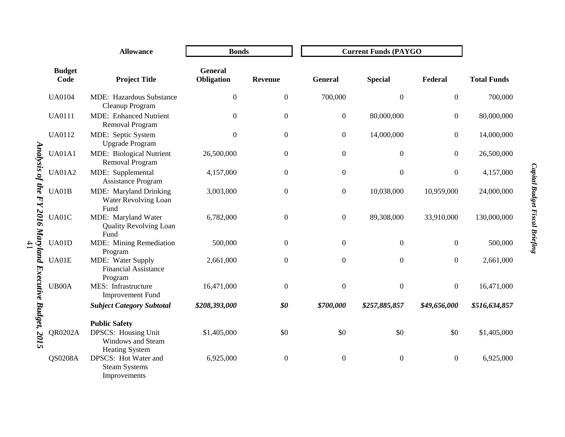|                                                         |                       | <b>Allowance</b>                                                       |                              | <b>Bonds</b>     |                  | <b>Current Funds (PAYGO</b> |                  |                    |  |
|---------------------------------------------------------|-----------------------|------------------------------------------------------------------------|------------------------------|------------------|------------------|-----------------------------|------------------|--------------------|--|
|                                                         | <b>Budget</b><br>Code | <b>Project Title</b>                                                   | <b>General</b><br>Obligation | Revenue          | General          | <b>Special</b>              | Federal          | <b>Total Funds</b> |  |
|                                                         | <b>UA0104</b>         | <b>MDE: Hazardous Substance</b><br>Cleanup Program                     | $\boldsymbol{0}$             | $\boldsymbol{0}$ | 700,000          | $\boldsymbol{0}$            | $\boldsymbol{0}$ | 700,000            |  |
|                                                         | <b>UA0111</b>         | <b>MDE:</b> Enhanced Nutrient<br>Removal Program                       | $\mathbf{0}$                 | $\boldsymbol{0}$ | $\boldsymbol{0}$ | 80,000,000                  | $\boldsymbol{0}$ | 80,000,000         |  |
|                                                         | <b>UA0112</b>         | MDE: Septic System<br><b>Upgrade Program</b>                           | $\mathbf{0}$                 | $\boldsymbol{0}$ | $\boldsymbol{0}$ | 14,000,000                  | $\boldsymbol{0}$ | 14,000,000         |  |
|                                                         | <b>UA01A1</b>         | <b>MDE:</b> Biological Nutrient<br>Removal Program                     | 26,500,000                   | $\boldsymbol{0}$ | $\boldsymbol{0}$ | $\boldsymbol{0}$            | $\boldsymbol{0}$ | 26,500,000         |  |
|                                                         | <b>UA01A2</b>         | MDE: Supplemental<br><b>Assistance Program</b>                         | 4,157,000                    | $\boldsymbol{0}$ | $\boldsymbol{0}$ | $\boldsymbol{0}$            | $\boldsymbol{0}$ | 4,157,000          |  |
|                                                         | UA01B                 | MDE: Maryland Drinking<br><b>Water Revolving Loan</b><br>Fund          | 3,003,000                    | $\boldsymbol{0}$ | $\boldsymbol{0}$ | 10,038,000                  | 10,959,000       | 24,000,000         |  |
|                                                         | UA01C                 | MDE: Maryland Water<br><b>Quality Revolving Loan</b><br>Fund           | 6,782,000                    | $\overline{0}$   | $\boldsymbol{0}$ | 89,308,000                  | 33,910,000       | 130,000,000        |  |
| 41                                                      | UA01D                 | MDE: Mining Remediation                                                | 500,000                      | $\boldsymbol{0}$ | $\boldsymbol{0}$ | $\boldsymbol{0}$            | $\boldsymbol{0}$ | 500,000            |  |
| Analysis of the FY 2016 Maryland Executive Budget, 2015 | UA01E                 | Program<br>MDE: Water Supply<br><b>Financial Assistance</b><br>Program | 2,661,000                    | $\boldsymbol{0}$ | $\boldsymbol{0}$ | $\boldsymbol{0}$            | $\boldsymbol{0}$ | 2,661,000          |  |
|                                                         | UB00A                 | MES: Infrastructure<br><b>Improvement Fund</b>                         | 16,471,000                   | $\boldsymbol{0}$ | $\boldsymbol{0}$ | $\boldsymbol{0}$            | $\boldsymbol{0}$ | 16,471,000         |  |
|                                                         |                       | <b>Subject Category Subtotal</b>                                       | \$208,393,000                | \$0\$            | \$700,000        | \$257,885,857               | \$49,656,000     | \$516,634,857      |  |
|                                                         | QR0202A               | <b>Public Safety</b><br><b>DPSCS:</b> Housing Unit                     | \$1,405,000                  | \$0              | \$0              | \$0                         | \$0              | \$1,405,000        |  |
|                                                         |                       | <b>Windows and Steam</b><br><b>Heating System</b>                      |                              |                  |                  |                             |                  |                    |  |
|                                                         | QS0208A               | DPSCS: Hot Water and<br><b>Steam Systems</b><br>Improvements           | 6,925,000                    | $\boldsymbol{0}$ | $\boldsymbol{0}$ | $\boldsymbol{0}$            | $\boldsymbol{0}$ | 6,925,000          |  |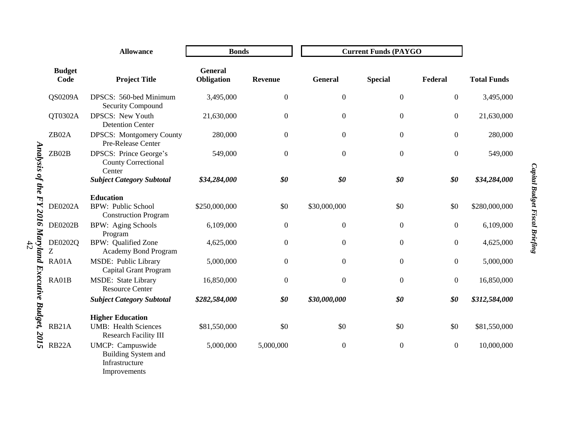|                                  |                       | <b>Allowance</b>                                                                 | <b>Bonds</b>                 |                                                   | <b>Current Funds (PAYGO</b> |                                                   |                  |                    |
|----------------------------------|-----------------------|----------------------------------------------------------------------------------|------------------------------|---------------------------------------------------|-----------------------------|---------------------------------------------------|------------------|--------------------|
|                                  | <b>Budget</b><br>Code | <b>Project Title</b>                                                             | <b>General</b><br>Obligation | Revenue                                           | <b>General</b>              | <b>Special</b>                                    | Federal          | <b>Total Funds</b> |
|                                  | QS0209A               | DPSCS: 560-bed Minimum<br><b>Security Compound</b>                               | 3,495,000                    | $\boldsymbol{0}$                                  | $\boldsymbol{0}$            | $\boldsymbol{0}$                                  | $\boldsymbol{0}$ | 3,495,000          |
|                                  | QT0302A               | <b>DPSCS:</b> New Youth<br><b>Detention Center</b>                               | 21,630,000                   | $\boldsymbol{0}$                                  | $\boldsymbol{0}$            | $\boldsymbol{0}$                                  | $\boldsymbol{0}$ | 21,630,000         |
| Analysis of the FY 2016 Maryland | ZB02A                 | <b>DPSCS:</b> Montgomery County<br>Pre-Release Center                            | 280,000                      | $\boldsymbol{0}$                                  | $\boldsymbol{0}$            | $\boldsymbol{0}$                                  | $\boldsymbol{0}$ | 280,000            |
|                                  | ZB02B                 | DPSCS: Prince George's<br><b>County Correctional</b><br>Center                   | 549,000                      | $\boldsymbol{0}$                                  | $\boldsymbol{0}$            | $\mathbf{0}$                                      | $\boldsymbol{0}$ | 549,000            |
|                                  |                       | <b>Subject Category Subtotal</b>                                                 | \$34,284,000                 | $\boldsymbol{\mathcal{S}}\boldsymbol{\mathit{0}}$ | \$0                         | $\boldsymbol{\mathcal{S}}\boldsymbol{\mathit{0}}$ | \$0              | \$34,284,000       |
|                                  |                       | <b>Education</b>                                                                 |                              |                                                   |                             |                                                   |                  |                    |
|                                  | <b>DE0202A</b>        | <b>BPW: Public School</b><br><b>Construction Program</b>                         | \$250,000,000                | \$0                                               | \$30,000,000                | \$0                                               | \$0              | \$280,000,000      |
|                                  | <b>DE0202B</b>        | <b>BPW:</b> Aging Schools<br>Program                                             | 6,109,000                    | $\boldsymbol{0}$                                  | $\boldsymbol{0}$            | $\boldsymbol{0}$                                  | $\boldsymbol{0}$ | 6,109,000          |
| 42                               | <b>DE0202Q</b><br>Z   | <b>BPW:</b> Qualified Zone<br><b>Academy Bond Program</b>                        | 4,625,000                    | $\boldsymbol{0}$                                  | $\boldsymbol{0}$            | $\boldsymbol{0}$                                  | $\boldsymbol{0}$ | 4,625,000          |
|                                  | RA01A                 | MSDE: Public Library<br><b>Capital Grant Program</b>                             | 5,000,000                    | $\boldsymbol{0}$                                  | $\boldsymbol{0}$            | $\boldsymbol{0}$                                  | $\boldsymbol{0}$ | 5,000,000          |
|                                  | RA01B                 | <b>MSDE: State Library</b><br><b>Resource Center</b>                             | 16,850,000                   | $\boldsymbol{0}$                                  | $\boldsymbol{0}$            | $\overline{0}$                                    | $\boldsymbol{0}$ | 16,850,000         |
|                                  |                       | <b>Subject Category Subtotal</b>                                                 | \$282,584,000                | \$0                                               | \$30,000,000                | \$0                                               | \$0              | \$312,584,000      |
|                                  |                       | <b>Higher Education</b>                                                          |                              |                                                   |                             |                                                   |                  |                    |
| Executive Budget, 2015           | <b>RB21A</b>          | <b>UMB:</b> Health Sciences<br><b>Research Facility III</b>                      | \$81,550,000                 | \$0                                               | \$0                         | \$0                                               | \$0              | \$81,550,000       |
|                                  | RB <sub>22</sub> A    | UMCP: Campuswide<br><b>Building System and</b><br>Infrastructure<br>Improvements | 5,000,000                    | 5,000,000                                         | $\boldsymbol{0}$            | $\boldsymbol{0}$                                  | $\mathbf{0}$     | 10,000,000         |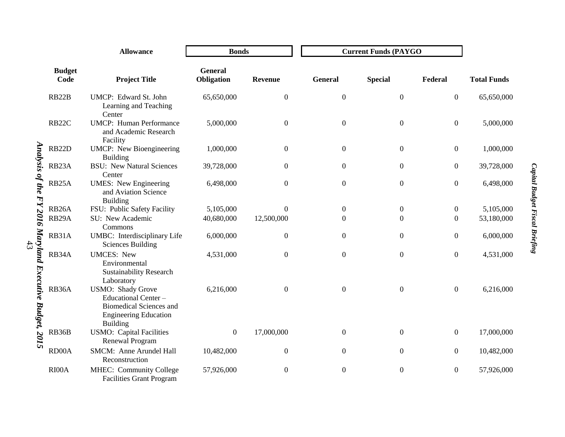|                                                         |                       | <b>Allowance</b>                                                                                                                     | <b>Bonds</b>                 |                  | <b>Current Funds (PAYGO</b> |                  |                  |                    |
|---------------------------------------------------------|-----------------------|--------------------------------------------------------------------------------------------------------------------------------------|------------------------------|------------------|-----------------------------|------------------|------------------|--------------------|
|                                                         | <b>Budget</b><br>Code | <b>Project Title</b>                                                                                                                 | <b>General</b><br>Obligation | <b>Revenue</b>   | General                     | <b>Special</b>   | Federal          | <b>Total Funds</b> |
|                                                         | RB <sub>22</sub> B    | UMCP: Edward St. John<br>Learning and Teaching<br>Center                                                                             | 65,650,000                   | $\boldsymbol{0}$ | $\boldsymbol{0}$            | $\boldsymbol{0}$ | $\boldsymbol{0}$ | 65,650,000         |
|                                                         | RB <sub>22</sub> C    | <b>UMCP:</b> Human Performance<br>and Academic Research<br>Facility                                                                  | 5,000,000                    | $\mathbf{0}$     | $\boldsymbol{0}$            | $\boldsymbol{0}$ | $\boldsymbol{0}$ | 5,000,000          |
|                                                         | <b>RB22D</b>          | <b>UMCP:</b> New Bioengineering<br><b>Building</b>                                                                                   | 1,000,000                    | $\overline{0}$   | $\boldsymbol{0}$            | $\boldsymbol{0}$ | $\boldsymbol{0}$ | 1,000,000          |
|                                                         | RB <sub>23</sub> A    | <b>BSU:</b> New Natural Sciences<br>Center                                                                                           | 39,728,000                   | $\overline{0}$   | $\boldsymbol{0}$            | $\boldsymbol{0}$ | $\boldsymbol{0}$ | 39,728,000         |
|                                                         | RB <sub>25</sub> A    | <b>UMES:</b> New Engineering<br>and Aviation Science<br>Building                                                                     | 6,498,000                    | $\mathbf{0}$     | $\boldsymbol{0}$            | $\boldsymbol{0}$ | $\boldsymbol{0}$ | 6,498,000          |
|                                                         | RB <sub>26</sub> A    | FSU: Public Safety Facility                                                                                                          | 5,105,000                    | $\boldsymbol{0}$ | $\boldsymbol{0}$            | $\boldsymbol{0}$ | $\boldsymbol{0}$ | 5,105,000          |
|                                                         | RB <sub>29</sub> A    | SU: New Academic<br>Commons                                                                                                          | 40,680,000                   | 12,500,000       | $\boldsymbol{0}$            | $\overline{0}$   | $\boldsymbol{0}$ | 53,180,000         |
| 43                                                      | RB31A                 | UMBC: Interdisciplinary Life<br><b>Sciences Building</b>                                                                             | 6,000,000                    | $\boldsymbol{0}$ | $\boldsymbol{0}$            | $\overline{0}$   | $\boldsymbol{0}$ | 6,000,000          |
|                                                         | RB34A                 | <b>UMCES:</b> New<br>Environmental<br><b>Sustainability Research</b><br>Laboratory                                                   | 4,531,000                    | $\overline{0}$   | $\boldsymbol{0}$            | $\overline{0}$   | $\boldsymbol{0}$ | 4,531,000          |
| Analysis of the FY 2016 Maryland Executive Budget, 2015 | RB36A                 | <b>USMO: Shady Grove</b><br>Educational Center-<br><b>Biomedical Sciences and</b><br><b>Engineering Education</b><br><b>Building</b> | 6,216,000                    | $\mathbf{0}$     | $\boldsymbol{0}$            | $\mathbf{0}$     | $\boldsymbol{0}$ | 6,216,000          |
|                                                         | RB36B                 | <b>USMO:</b> Capital Facilities<br>Renewal Program                                                                                   | $\overline{0}$               | 17,000,000       | $\boldsymbol{0}$            | $\boldsymbol{0}$ | $\boldsymbol{0}$ | 17,000,000         |
|                                                         | RD <sub>00</sub> A    | SMCM: Anne Arundel Hall<br>Reconstruction                                                                                            | 10,482,000                   | $\boldsymbol{0}$ | $\boldsymbol{0}$            | $\boldsymbol{0}$ | $\boldsymbol{0}$ | 10,482,000         |
|                                                         | RI00A                 | <b>MHEC:</b> Community College<br><b>Facilities Grant Program</b>                                                                    | 57,926,000                   | $\boldsymbol{0}$ | $\boldsymbol{0}$            | $\boldsymbol{0}$ | $\boldsymbol{0}$ | 57,926,000         |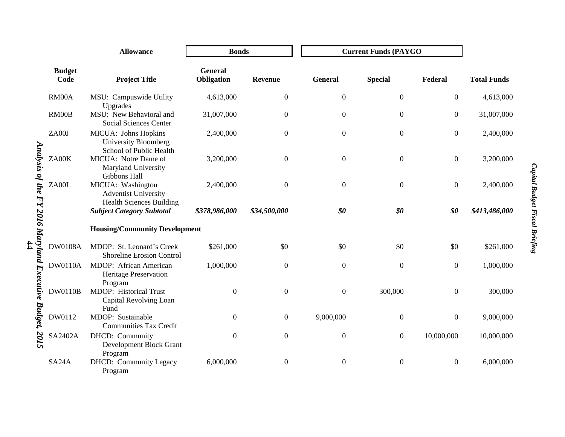|                                                    |                       | <b>Allowance</b>                                                                    |                              | <b>Bonds</b>     |                  | <b>Current Funds (PAYGO</b> |                |                    |  |
|----------------------------------------------------|-----------------------|-------------------------------------------------------------------------------------|------------------------------|------------------|------------------|-----------------------------|----------------|--------------------|--|
|                                                    | <b>Budget</b><br>Code | <b>Project Title</b>                                                                | <b>General</b><br>Obligation | Revenue          | <b>General</b>   | <b>Special</b>              | Federal        | <b>Total Funds</b> |  |
|                                                    | RM00A                 | MSU: Campuswide Utility<br>Upgrades                                                 | 4,613,000                    | $\boldsymbol{0}$ | $\boldsymbol{0}$ | $\boldsymbol{0}$            | $\overline{0}$ | 4,613,000          |  |
|                                                    | RM00B                 | MSU: New Behavioral and<br><b>Social Sciences Center</b>                            | 31,007,000                   | $\boldsymbol{0}$ | $\boldsymbol{0}$ | $\boldsymbol{0}$            | $\overline{0}$ | 31,007,000         |  |
|                                                    | ZA00J                 | MICUA: Johns Hopkins<br><b>University Bloomberg</b><br>School of Public Health      | 2,400,000                    | $\mathbf{0}$     | $\boldsymbol{0}$ | $\boldsymbol{0}$            | $\overline{0}$ | 2,400,000          |  |
|                                                    | ZA00K                 | MICUA: Notre Dame of<br>Maryland University<br>Gibbons Hall                         | 3,200,000                    | $\overline{0}$   | $\boldsymbol{0}$ | $\boldsymbol{0}$            | $\overline{0}$ | 3,200,000          |  |
|                                                    | ZA00L                 | MICUA: Washington<br><b>Adventist University</b><br><b>Health Sciences Building</b> | 2,400,000                    | $\overline{0}$   | $\boldsymbol{0}$ | $\boldsymbol{0}$            | $\overline{0}$ | 2,400,000          |  |
|                                                    |                       | <b>Subject Category Subtotal</b>                                                    | \$378,986,000                | \$34,500,000     | \$0              | \$0                         | \$0            | \$413,486,000      |  |
|                                                    |                       | <b>Housing/Community Development</b>                                                |                              |                  |                  |                             |                |                    |  |
| 44                                                 | <b>DW0108A</b>        | MDOP: St. Leonard's Creek<br><b>Shoreline Erosion Control</b>                       | \$261,000                    | \$0              | \$0              | \$0                         | \$0            | \$261,000          |  |
| Analysis of the FY 2016 Maryland Executive Budget, | <b>DW0110A</b>        | MDOP: African American<br>Heritage Preservation<br>Program                          | 1,000,000                    | $\mathbf{0}$     | $\boldsymbol{0}$ | $\boldsymbol{0}$            | $\overline{0}$ | 1,000,000          |  |
|                                                    | <b>DW0110B</b>        | <b>MDOP:</b> Historical Trust<br>Capital Revolving Loan<br>Fund                     | $\boldsymbol{0}$             | $\boldsymbol{0}$ | $\boldsymbol{0}$ | 300,000                     | $\overline{0}$ | 300,000            |  |
|                                                    | DW0112                | MDOP: Sustainable<br><b>Communities Tax Credit</b>                                  | $\boldsymbol{0}$             | $\overline{0}$   | 9,000,000        | $\boldsymbol{0}$            | $\overline{0}$ | 9,000,000          |  |
| 2015                                               | SA2402A               | <b>DHCD:</b> Community<br><b>Development Block Grant</b><br>Program                 | $\mathbf{0}$                 | $\mathbf{0}$     | $\boldsymbol{0}$ | $\boldsymbol{0}$            | 10,000,000     | 10,000,000         |  |
|                                                    | SA <sub>24</sub> A    | <b>DHCD:</b> Community Legacy<br>Program                                            | 6,000,000                    | $\mathbf{0}$     | $\boldsymbol{0}$ | $\boldsymbol{0}$            | $\overline{0}$ | 6,000,000          |  |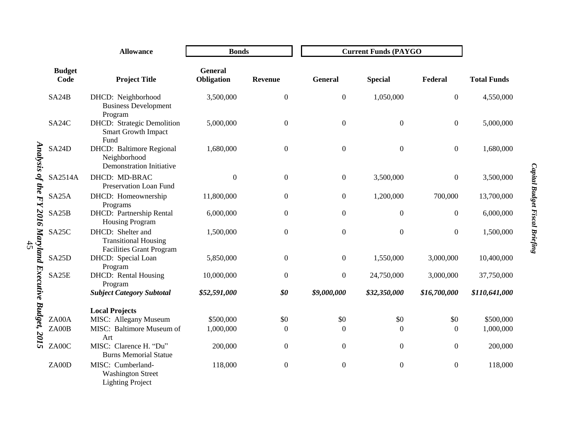|                                                         |                       | <b>Allowance</b>                                                                    | <b>Bonds</b>                 |                  | <b>Current Funds (PAYGO</b> |                  |                  |                    |
|---------------------------------------------------------|-----------------------|-------------------------------------------------------------------------------------|------------------------------|------------------|-----------------------------|------------------|------------------|--------------------|
|                                                         | <b>Budget</b><br>Code | <b>Project Title</b>                                                                | <b>General</b><br>Obligation | <b>Revenue</b>   | <b>General</b>              | <b>Special</b>   | Federal          | <b>Total Funds</b> |
|                                                         | SA <sub>24</sub> B    | DHCD: Neighborhood<br><b>Business Development</b><br>Program                        | 3,500,000                    | $\boldsymbol{0}$ | $\boldsymbol{0}$            | 1,050,000        | $\boldsymbol{0}$ | 4,550,000          |
|                                                         | SA <sub>24</sub> C    | <b>DHCD:</b> Strategic Demolition<br><b>Smart Growth Impact</b><br>Fund             | 5,000,000                    | $\mathbf{0}$     | $\boldsymbol{0}$            | $\mathbf{0}$     | $\boldsymbol{0}$ | 5,000,000          |
| Analysis of the FY 2016 Maryland Executive Budget, 2015 | SA <sub>24</sub> D    | DHCD: Baltimore Regional<br>Neighborhood<br><b>Demonstration Initiative</b>         | 1,680,000                    | $\boldsymbol{0}$ | $\boldsymbol{0}$            | $\boldsymbol{0}$ | $\boldsymbol{0}$ | 1,680,000          |
|                                                         | SA2514A               | DHCD: MD-BRAC<br>Preservation Loan Fund                                             | $\mathbf{0}$                 | $\boldsymbol{0}$ | $\boldsymbol{0}$            | 3,500,000        | $\boldsymbol{0}$ | 3,500,000          |
|                                                         | SA <sub>25</sub> A    | DHCD: Homeownership<br>Programs                                                     | 11,800,000                   | $\overline{0}$   | $\boldsymbol{0}$            | 1,200,000        | 700,000          | 13,700,000         |
|                                                         | SA25B                 | <b>DHCD:</b> Partnership Rental<br><b>Housing Program</b>                           | 6,000,000                    | $\boldsymbol{0}$ | $\boldsymbol{0}$            | $\boldsymbol{0}$ | $\boldsymbol{0}$ | 6,000,000          |
| 42                                                      | SA <sub>25</sub> C    | DHCD: Shelter and<br><b>Transitional Housing</b><br><b>Facilities Grant Program</b> | 1,500,000                    | $\boldsymbol{0}$ | $\boldsymbol{0}$            | $\boldsymbol{0}$ | $\boldsymbol{0}$ | 1,500,000          |
|                                                         | SA <sub>25</sub> D    | DHCD: Special Loan<br>Program                                                       | 5,850,000                    | $\boldsymbol{0}$ | $\boldsymbol{0}$            | 1,550,000        | 3,000,000        | 10,400,000         |
|                                                         | SA25E                 | <b>DHCD:</b> Rental Housing<br>Program                                              | 10,000,000                   | $\boldsymbol{0}$ | $\boldsymbol{0}$            | 24,750,000       | 3,000,000        | 37,750,000         |
|                                                         |                       | <b>Subject Category Subtotal</b>                                                    | \$52,591,000                 | \$0              | \$9,000,000                 | \$32,350,000     | \$16,700,000     | \$110,641,000      |
|                                                         |                       | <b>Local Projects</b>                                                               |                              |                  |                             |                  |                  |                    |
|                                                         | ZA00A                 | MISC: Allegany Museum                                                               | \$500,000                    | \$0              | \$0                         | \$0              | \$0              | \$500,000          |
|                                                         | ZA00B                 | MISC: Baltimore Museum of<br>Art                                                    | 1,000,000                    | $\theta$         | $\Omega$                    | $\boldsymbol{0}$ | $\theta$         | 1,000,000          |
|                                                         | ZA00C                 | MISC: Clarence H. "Du"<br><b>Burns Memorial Statue</b>                              | 200,000                      | $\boldsymbol{0}$ | $\boldsymbol{0}$            | $\boldsymbol{0}$ | $\boldsymbol{0}$ | 200,000            |
|                                                         | ZA00D                 | MISC: Cumberland-<br><b>Washington Street</b><br><b>Lighting Project</b>            | 118,000                      | $\boldsymbol{0}$ | $\boldsymbol{0}$            | $\boldsymbol{0}$ | $\boldsymbol{0}$ | 118,000            |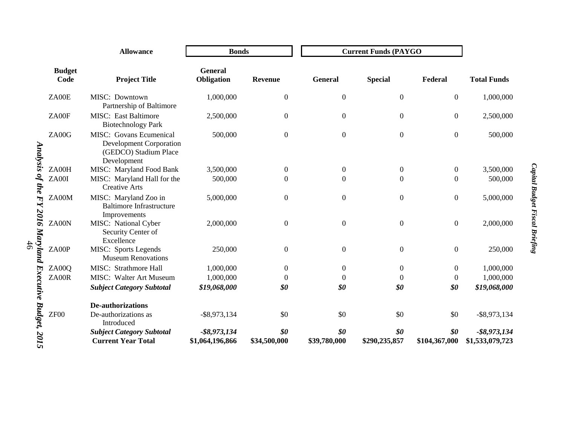|                                  |                       | <b>Allowance</b>                                                                                  | <b>Bonds</b>                       |                                                   |                     | <b>Current Funds (PAYGO</b>                                        |                      |                                    |
|----------------------------------|-----------------------|---------------------------------------------------------------------------------------------------|------------------------------------|---------------------------------------------------|---------------------|--------------------------------------------------------------------|----------------------|------------------------------------|
|                                  | <b>Budget</b><br>Code | <b>Project Title</b>                                                                              | <b>General</b><br>Obligation       | <b>Revenue</b>                                    | General             | <b>Special</b>                                                     | Federal              | <b>Total Funds</b>                 |
|                                  | ZA00E                 | MISC: Downtown<br>Partnership of Baltimore                                                        | 1,000,000                          | $\boldsymbol{0}$                                  | $\boldsymbol{0}$    | $\boldsymbol{0}$                                                   | $\boldsymbol{0}$     | 1,000,000                          |
|                                  | ZA00F                 | <b>MISC:</b> East Baltimore<br><b>Biotechnology Park</b>                                          | 2,500,000                          | $\mathbf{0}$                                      | $\boldsymbol{0}$    | $\boldsymbol{0}$                                                   | $\boldsymbol{0}$     | 2,500,000                          |
|                                  | ZA00G                 | MISC: Govans Ecumenical<br><b>Development Corporation</b><br>(GEDCO) Stadium Place<br>Development | 500,000                            | $\overline{0}$                                    | $\boldsymbol{0}$    | $\boldsymbol{0}$                                                   | $\overline{0}$       | 500,000                            |
|                                  | ZA00H                 | MISC: Maryland Food Bank                                                                          | 3,500,000                          | $\mathbf{0}$                                      | $\theta$            | $\boldsymbol{0}$                                                   | $\boldsymbol{0}$     | 3,500,000                          |
|                                  | ZA00I                 | MISC: Maryland Hall for the<br><b>Creative Arts</b>                                               | 500,000                            | $\theta$                                          | $\overline{0}$      | $\overline{0}$                                                     | $\mathbf{0}$         | 500,000                            |
| Analysis of the FY 2016 Maryland | ZA00M                 | MISC: Maryland Zoo in<br><b>Baltimore Infrastructure</b><br>Improvements                          | 5,000,000                          | $\overline{0}$                                    | $\boldsymbol{0}$    | $\boldsymbol{0}$                                                   | $\boldsymbol{0}$     | 5,000,000                          |
|                                  | ZA00N                 | MISC: National Cyber<br>Security Center of<br>Excellence                                          | 2,000,000                          | $\boldsymbol{0}$                                  | $\boldsymbol{0}$    | $\boldsymbol{0}$                                                   | $\boldsymbol{0}$     | 2,000,000                          |
| 46                               | ZA00P                 | MISC: Sports Legends<br><b>Museum Renovations</b>                                                 | 250,000                            | $\overline{0}$                                    | $\boldsymbol{0}$    | $\mathbf{0}$                                                       | $\overline{0}$       | 250,000                            |
|                                  | ZA00Q                 | MISC: Strathmore Hall                                                                             | 1,000,000                          | $\mathbf{0}$                                      | $\boldsymbol{0}$    | $\boldsymbol{0}$                                                   | $\boldsymbol{0}$     | 1,000,000                          |
|                                  | ZA00R                 | <b>MISC: Walter Art Museum</b>                                                                    | 1,000,000                          | $\theta$                                          | $\Omega$            | $\Omega$                                                           | $\mathbf{0}$         | 1,000,000                          |
|                                  |                       | <b>Subject Category Subtotal</b>                                                                  | \$19,068,000                       | $\boldsymbol{\mathcal{S}}\boldsymbol{\mathit{0}}$ | \$0                 | $\boldsymbol{\mathcal{S}}\boldsymbol{\mathit{0}}$                  | \$0                  | \$19,068,000                       |
|                                  |                       | De-authorizations                                                                                 |                                    |                                                   |                     |                                                                    |                      |                                    |
|                                  | ZF <sub>00</sub>      | De-authorizations as<br>Introduced                                                                | $-$ \$8,973,134                    | \$0                                               | \$0                 | \$0                                                                | \$0                  | $-$ \$8,973,134                    |
| Executive Budget, 2015           |                       | <b>Subject Category Subtotal</b><br><b>Current Year Total</b>                                     | $-$ \$8,973,134<br>\$1,064,196,866 | \$0<br>\$34,500,000                               | \$0<br>\$39,780,000 | $\boldsymbol{\mathcal{S}}\boldsymbol{\mathit{0}}$<br>\$290,235,857 | \$0<br>\$104,367,000 | $-$ \$8,973,134<br>\$1,533,079,723 |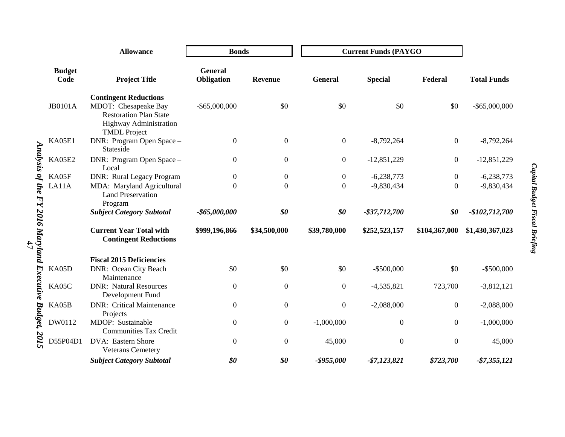|                                                    |                       | <b>Allowance</b>                                                                                                                       | <b>Bonds</b>                 |                  |                  | <b>Current Funds (PAYGO</b> |                  |                    |
|----------------------------------------------------|-----------------------|----------------------------------------------------------------------------------------------------------------------------------------|------------------------------|------------------|------------------|-----------------------------|------------------|--------------------|
|                                                    | <b>Budget</b><br>Code | <b>Project Title</b>                                                                                                                   | <b>General</b><br>Obligation | <b>Revenue</b>   | <b>General</b>   | <b>Special</b>              | Federal          | <b>Total Funds</b> |
|                                                    | <b>JB0101A</b>        | <b>Contingent Reductions</b><br>MDOT: Chesapeake Bay<br><b>Restoration Plan State</b><br>Highway Administration<br><b>TMDL</b> Project | $-$ \$65,000,000             | \$0              | \$0              | \$0                         | \$0              | $-$ \$65,000,000   |
|                                                    | <b>KA05E1</b>         | DNR: Program Open Space -<br>Stateside                                                                                                 | $\mathbf{0}$                 | $\mathbf{0}$     | $\boldsymbol{0}$ | $-8,792,264$                | $\overline{0}$   | $-8,792,264$       |
|                                                    | KA05E2                | DNR: Program Open Space -<br>Local                                                                                                     | $\boldsymbol{0}$             | $\mathbf{0}$     | $\boldsymbol{0}$ | $-12,851,229$               | $\overline{0}$   | $-12,851,229$      |
|                                                    | KA05F                 | DNR: Rural Legacy Program                                                                                                              | $\boldsymbol{0}$             | $\boldsymbol{0}$ | $\boldsymbol{0}$ | $-6,238,773$                | $\boldsymbol{0}$ | $-6,238,773$       |
|                                                    | LA11A                 | MDA: Maryland Agricultural<br><b>Land Preservation</b><br>Program                                                                      | $\Omega$                     | $\mathbf{0}$     | $\boldsymbol{0}$ | $-9,830,434$                | $\boldsymbol{0}$ | $-9,830,434$       |
|                                                    |                       | <b>Subject Category Subtotal</b>                                                                                                       | $-$65,000,000$               | \$0              | \$0              | $-$ \$37,712,700            | \$0              | $-$102,712,700$    |
| Analysis of the FY 2016 Maryland Executive Budget, |                       | <b>Current Year Total with</b><br><b>Contingent Reductions</b>                                                                         | \$999,196,866                | \$34,500,000     | \$39,780,000     | \$252,523,157               | \$104,367,000    | \$1,430,367,023    |
|                                                    |                       | <b>Fiscal 2015 Deficiencies</b>                                                                                                        |                              |                  |                  |                             |                  |                    |
|                                                    | KA05D                 | DNR: Ocean City Beach<br>Maintenance                                                                                                   | \$0                          | \$0              | \$0              | $-$ \$500,000               | \$0              | $-$ \$500,000      |
|                                                    | KA05C                 | <b>DNR: Natural Resources</b><br>Development Fund                                                                                      | $\mathbf{0}$                 | $\boldsymbol{0}$ | $\boldsymbol{0}$ | $-4,535,821$                | 723,700          | $-3,812,121$       |
|                                                    | KA05B                 | <b>DNR:</b> Critical Maintenance<br>Projects                                                                                           | $\overline{0}$               | $\boldsymbol{0}$ | $\boldsymbol{0}$ | $-2,088,000$                | $\mathbf{0}$     | $-2,088,000$       |
|                                                    | DW0112                | MDOP: Sustainable<br><b>Communities Tax Credit</b>                                                                                     | $\boldsymbol{0}$             | $\boldsymbol{0}$ | $-1,000,000$     | $\boldsymbol{0}$            | $\overline{0}$   | $-1,000,000$       |
| 2015                                               | D55P04D1              | DVA: Eastern Shore<br><b>Veterans Cemetery</b>                                                                                         | $\mathbf{0}$                 | $\boldsymbol{0}$ | 45,000           | $\boldsymbol{0}$            | $\boldsymbol{0}$ | 45,000             |
|                                                    |                       | <b>Subject Category Subtotal</b>                                                                                                       | \$0                          | \$0\$            | $-$ \$955,000    | $-$ \$7,123,821             | \$723,700        | $-$ \$7,355,121    |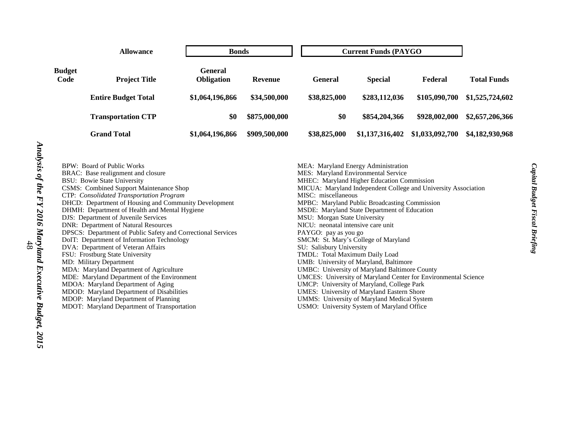|                       | <b>Allowance</b>           | <b>Bonds</b>                        |               |              | <b>Current Funds (PAYGO)</b> |                 |                    |  |
|-----------------------|----------------------------|-------------------------------------|---------------|--------------|------------------------------|-----------------|--------------------|--|
| <b>Budget</b><br>Code | <b>Project Title</b>       | <b>General</b><br><b>Obligation</b> | Revenue       | General      | <b>Special</b>               | Federal         | <b>Total Funds</b> |  |
|                       | <b>Entire Budget Total</b> | \$1,064,196,866                     | \$34,500,000  | \$38,825,000 | \$283,112,036                | \$105,090,700   | \$1,525,724,602    |  |
|                       | <b>Transportation CTP</b>  | \$0                                 | \$875,000,000 | \$0          | \$854,204,366                | \$928,002,000   | \$2,657,206,366    |  |
|                       | <b>Grand Total</b>         | \$1,064,196,866                     | \$909,500,000 | \$38,825,000 | \$1,137,316,402              | \$1,033,092,700 | \$4,182,930,968    |  |

| BPW: Board of Public Works                                          | MEA: Maryland Energy Administration                            |
|---------------------------------------------------------------------|----------------------------------------------------------------|
| BRAC: Base realignment and closure                                  | MES: Maryland Environmental Service                            |
| <b>BSU:</b> Bowie State University                                  | <b>MHEC:</b> Maryland Higher Education Commission              |
| <b>CSMS:</b> Combined Support Maintenance Shop                      | MICUA: Maryland Independent College and University Association |
| CTP: Consolidated Transportation Program                            | MISC: miscellaneous                                            |
| DHCD: Department of Housing and Community Development               | MPBC: Maryland Public Broadcasting Commission                  |
| DHMH: Department of Health and Mental Hygiene                       | MSDE: Maryland State Department of Education                   |
| DJS: Department of Juvenile Services                                | MSU: Morgan State University                                   |
| <b>DNR:</b> Department of Natural Resources                         | NICU: neonatal intensive care unit                             |
| <b>DPSCS:</b> Department of Public Safety and Correctional Services | PAYGO: pay as you go                                           |
| DoIT: Department of Information Technology                          | SMCM: St. Mary's College of Maryland                           |
| DVA: Department of Veteran Affairs                                  | SU: Salisbury University                                       |
| FSU: Frostburg State University                                     | TMDL: Total Maximum Daily Load                                 |
| <b>MD:</b> Military Department                                      | UMB: University of Maryland, Baltimore                         |
| MDA: Maryland Department of Agriculture                             | <b>UMBC:</b> University of Maryland Baltimore County           |
| MDE: Maryland Department of the Environment                         | UMCES: University of Maryland Center for Environmental Science |
| MDOA: Maryland Department of Aging                                  | UMCP: University of Maryland, College Park                     |
| MDOD: Maryland Department of Disabilities                           | <b>UMES:</b> University of Maryland Eastern Shore              |
| MDOP: Maryland Department of Planning                               | <b>UMMS:</b> University of Maryland Medical System             |
| MDOT: Maryland Department of Transportation                         | USMO: University System of Maryland Office                     |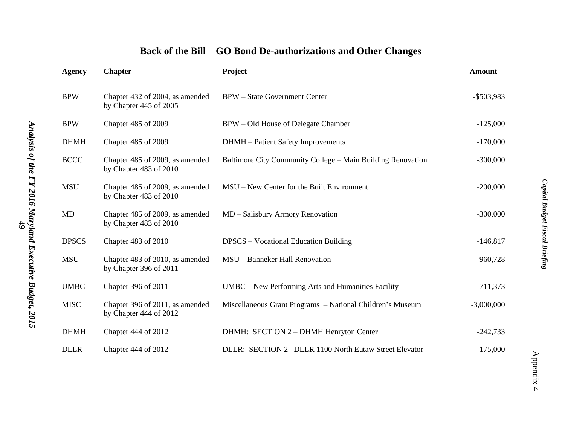# **Back of the Bill – GO Bond De-authorizations and Other Changes**

| Agency       | <b>Chapter</b>                                            | <b>Project</b>                                              | <b>Amount</b> |
|--------------|-----------------------------------------------------------|-------------------------------------------------------------|---------------|
| <b>BPW</b>   | Chapter 432 of 2004, as amended<br>by Chapter 445 of 2005 | <b>BPW</b> – State Government Center                        | $-$ \$503,983 |
| <b>BPW</b>   | Chapter 485 of 2009                                       | BPW – Old House of Delegate Chamber                         | $-125,000$    |
| <b>DHMH</b>  | Chapter 485 of 2009                                       | <b>DHMH</b> – Patient Safety Improvements                   | $-170,000$    |
| <b>BCCC</b>  | Chapter 485 of 2009, as amended<br>by Chapter 483 of 2010 | Baltimore City Community College – Main Building Renovation | $-300,000$    |
| <b>MSU</b>   | Chapter 485 of 2009, as amended<br>by Chapter 483 of 2010 | MSU – New Center for the Built Environment                  | $-200,000$    |
| MD           | Chapter 485 of 2009, as amended<br>by Chapter 483 of 2010 | MD – Salisbury Armory Renovation                            | $-300,000$    |
| <b>DPSCS</b> | Chapter 483 of 2010                                       | <b>DPSCS</b> – Vocational Education Building                | $-146,817$    |
| <b>MSU</b>   | Chapter 483 of 2010, as amended<br>by Chapter 396 of 2011 | MSU - Banneker Hall Renovation                              | $-960,728$    |
| <b>UMBC</b>  | Chapter 396 of 2011                                       | UMBC - New Performing Arts and Humanities Facility          | $-711,373$    |
| <b>MISC</b>  | Chapter 396 of 2011, as amended<br>by Chapter 444 of 2012 | Miscellaneous Grant Programs - National Children's Museum   | $-3,000,000$  |
| <b>DHMH</b>  | Chapter 444 of 2012                                       | DHMH: SECTION 2 – DHMH Henryton Center                      | $-242,733$    |
| <b>DLLR</b>  | Chapter 444 of 2012                                       | DLLR: SECTION 2- DLLR 1100 North Eutaw Street Elevator      | $-175,000$    |

49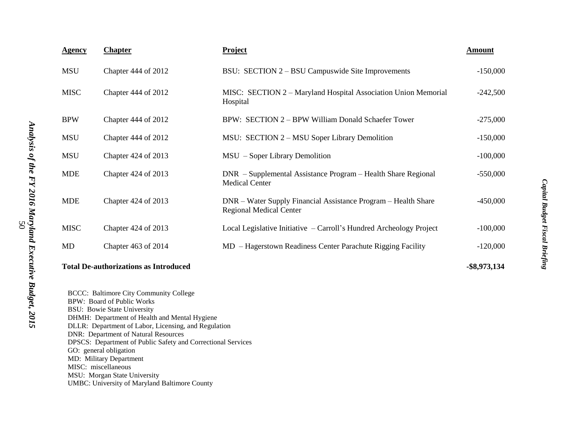| <b>Agency</b>                                                   | <b>Chapter</b>             | <b>Project</b>                                                                                   | <b>Amount</b> |  |
|-----------------------------------------------------------------|----------------------------|--------------------------------------------------------------------------------------------------|---------------|--|
| <b>MSU</b>                                                      | <b>Chapter 444 of 2012</b> | BSU: SECTION 2 – BSU Campuswide Site Improvements                                                | $-150,000$    |  |
| <b>MISC</b>                                                     | Chapter 444 of 2012        | MISC: SECTION 2 – Maryland Hospital Association Union Memorial<br>Hospital                       | $-242,500$    |  |
| <b>BPW</b>                                                      | Chapter 444 of 2012        | BPW: SECTION 2 – BPW William Donald Schaefer Tower                                               | $-275,000$    |  |
| <b>MSU</b>                                                      | Chapter 444 of 2012        | MSU: SECTION 2 – MSU Soper Library Demolition                                                    | $-150,000$    |  |
| <b>MSU</b>                                                      | Chapter 424 of 2013        | MSU - Soper Library Demolition                                                                   | $-100,000$    |  |
| <b>MDE</b>                                                      | Chapter 424 of 2013        | DNR - Supplemental Assistance Program - Health Share Regional<br><b>Medical Center</b>           | $-550,000$    |  |
| <b>MDE</b>                                                      | Chapter 424 of 2013        | DNR – Water Supply Financial Assistance Program – Health Share<br><b>Regional Medical Center</b> | $-450,000$    |  |
| <b>MISC</b>                                                     | Chapter 424 of 2013        | Local Legislative Initiative - Carroll's Hundred Archeology Project                              | $-100,000$    |  |
| MD                                                              | Chapter 463 of 2014        | MD - Hagerstown Readiness Center Parachute Rigging Facility                                      | $-120,000$    |  |
| $-$ \$8,973,134<br><b>Total De-authorizations as Introduced</b> |                            |                                                                                                  |               |  |

BCCC: Baltimore City Community College BPW: Board of Public Works BSU: Bowie State University DHMH: Department of Health and Mental Hygiene DLLR: Department of Labor, Licensing, and Regulation DNR: Department of Natural Resources DPSCS: Department of Public Safety and Correctional Services GO: general obligation MD: Military Department MISC: miscellaneous MSU: Morgan State University UMBC: University of Maryland Baltimore County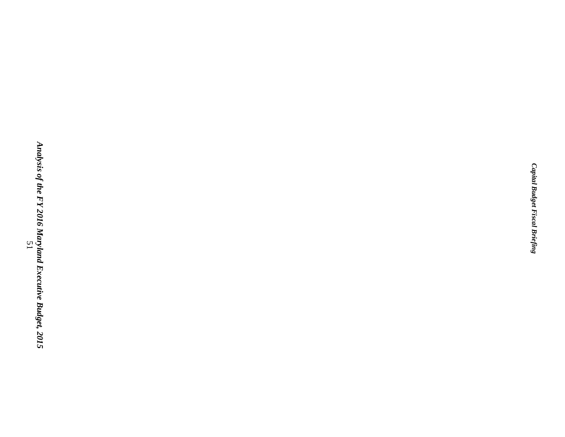*Analysis of the FY 2016 Maryland Executive Budget, 2015* Analysis of the FY 2016 Maryland Executive Budget,  $20I5$ <br> $51$ 

**Capital Budget Fiscal Briefing** *Capital Budget Fiscal Briefing*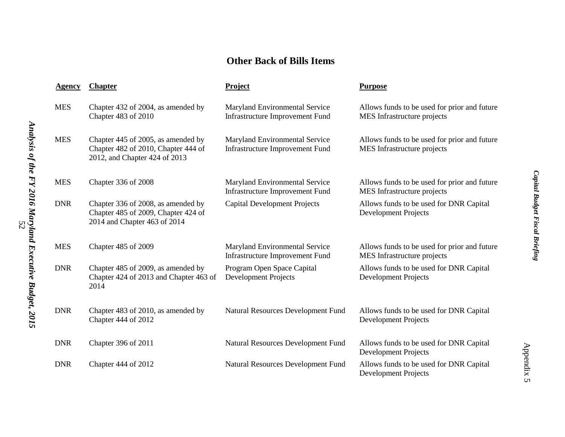# **Other Back of Bills Items**

| <b>Agency</b> | <b>Chapter</b>                                                                                             | <b>Project</b>                                                           | <b>Purpose</b>                                                              |
|---------------|------------------------------------------------------------------------------------------------------------|--------------------------------------------------------------------------|-----------------------------------------------------------------------------|
| <b>MES</b>    | Chapter 432 of 2004, as amended by<br>Chapter 483 of 2010                                                  | Maryland Environmental Service<br><b>Infrastructure Improvement Fund</b> | Allows funds to be used for prior and future<br>MES Infrastructure projects |
| <b>MES</b>    | Chapter 445 of 2005, as amended by<br>Chapter 482 of 2010, Chapter 444 of<br>2012, and Chapter 424 of 2013 | Maryland Environmental Service<br>Infrastructure Improvement Fund        | Allows funds to be used for prior and future<br>MES Infrastructure projects |
| <b>MES</b>    | Chapter 336 of 2008                                                                                        | Maryland Environmental Service<br><b>Infrastructure Improvement Fund</b> | Allows funds to be used for prior and future<br>MES Infrastructure projects |
| <b>DNR</b>    | Chapter 336 of 2008, as amended by<br>Chapter 485 of 2009, Chapter 424 of<br>2014 and Chapter 463 of 2014  | <b>Capital Development Projects</b>                                      | Allows funds to be used for DNR Capital<br>Development Projects             |
| <b>MES</b>    | Chapter 485 of 2009                                                                                        | Maryland Environmental Service<br><b>Infrastructure Improvement Fund</b> | Allows funds to be used for prior and future<br>MES Infrastructure projects |
| <b>DNR</b>    | Chapter 485 of 2009, as amended by<br>Chapter 424 of 2013 and Chapter 463 of<br>2014                       | Program Open Space Capital<br><b>Development Projects</b>                | Allows funds to be used for DNR Capital<br><b>Development Projects</b>      |
| <b>DNR</b>    | Chapter 483 of 2010, as amended by<br>Chapter 444 of 2012                                                  | Natural Resources Development Fund                                       | Allows funds to be used for DNR Capital<br>Development Projects             |
| <b>DNR</b>    | Chapter 396 of 2011                                                                                        | <b>Natural Resources Development Fund</b>                                | Allows funds to be used for DNR Capital<br>Development Projects             |
| <b>DNR</b>    | Chapter 444 of 2012                                                                                        | <b>Natural Resources Development Fund</b>                                | Allows funds to be used for DNR Capital<br>Development Projects             |